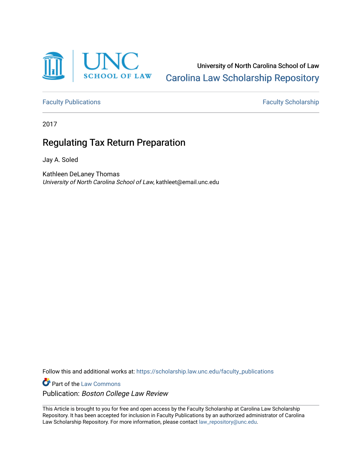

University of North Carolina School of Law [Carolina Law Scholarship Repository](https://scholarship.law.unc.edu/) 

[Faculty Publications](https://scholarship.law.unc.edu/faculty_publications) **Faculty Scholarship** 

2017

# Regulating Tax Return Preparation

Jay A. Soled

Kathleen DeLaney Thomas University of North Carolina School of Law, kathleet@email.unc.edu

Follow this and additional works at: [https://scholarship.law.unc.edu/faculty\\_publications](https://scholarship.law.unc.edu/faculty_publications?utm_source=scholarship.law.unc.edu%2Ffaculty_publications%2F300&utm_medium=PDF&utm_campaign=PDFCoverPages)

**Part of the [Law Commons](https://network.bepress.com/hgg/discipline/578?utm_source=scholarship.law.unc.edu%2Ffaculty_publications%2F300&utm_medium=PDF&utm_campaign=PDFCoverPages)** Publication: Boston College Law Review

This Article is brought to you for free and open access by the Faculty Scholarship at Carolina Law Scholarship Repository. It has been accepted for inclusion in Faculty Publications by an authorized administrator of Carolina Law Scholarship Repository. For more information, please contact [law\\_repository@unc.edu.](mailto:law_repository@unc.edu)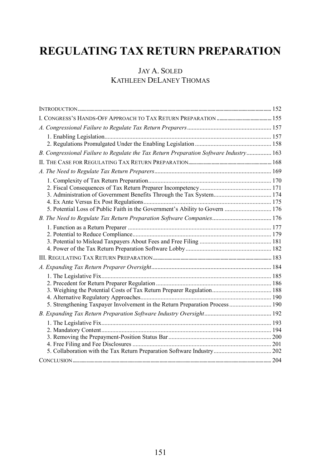# **REGULATING TAX RETURN PREPARATION**

# JAY A. SOLED KATHLEEN DELANEY THOMAS

| B. Congressional Failure to Regulate the Tax Return Preparation Software Industry 163 |  |
|---------------------------------------------------------------------------------------|--|
|                                                                                       |  |
|                                                                                       |  |
|                                                                                       |  |
|                                                                                       |  |
|                                                                                       |  |
|                                                                                       |  |
| 5. Potential Loss of Public Faith in the Government's Ability to Govern  176          |  |
| B. The Need to Regulate Tax Return Preparation Software Companies 176                 |  |
|                                                                                       |  |
|                                                                                       |  |
|                                                                                       |  |
|                                                                                       |  |
|                                                                                       |  |
|                                                                                       |  |
|                                                                                       |  |
|                                                                                       |  |
|                                                                                       |  |
|                                                                                       |  |
| 5. Strengthening Taxpayer Involvement in the Return Preparation Process  190          |  |
|                                                                                       |  |
|                                                                                       |  |
|                                                                                       |  |
|                                                                                       |  |
|                                                                                       |  |
|                                                                                       |  |
|                                                                                       |  |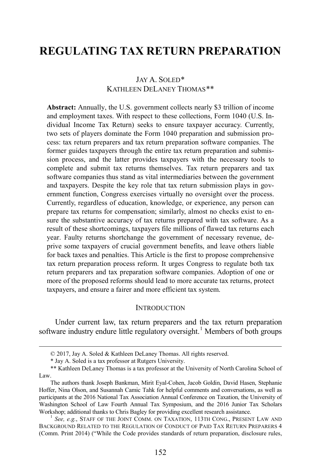# **REGULATING TAX RETURN PREPARATION**

# JAY A. SOLED[\\*](#page-2-1) KATHLEEN DELANEY THOMAS[\\*\\*](#page-2-2)

**Abstract:** Annually, the U.S. government collects nearly \$3 trillion of income and employment taxes. With respect to these collections, Form 1040 (U.S. Individual Income Tax Return) seeks to ensure taxpayer accuracy. Currently, two sets of players dominate the Form 1040 preparation and submission process: tax return preparers and tax return preparation software companies. The former guides taxpayers through the entire tax return preparation and submission process, and the latter provides taxpayers with the necessary tools to complete and submit tax returns themselves. Tax return preparers and tax software companies thus stand as vital intermediaries between the government and taxpayers. Despite the key role that tax return submission plays in government function, Congress exercises virtually no oversight over the process. Currently, regardless of education, knowledge, or experience, any person can prepare tax returns for compensation; similarly, almost no checks exist to ensure the substantive accuracy of tax returns prepared with tax software. As a result of these shortcomings, taxpayers file millions of flawed tax returns each year. Faulty returns shortchange the government of necessary revenue, deprive some taxpayers of crucial government benefits, and leave others liable for back taxes and penalties. This Article is the first to propose comprehensive tax return preparation process reform. It urges Congress to regulate both tax return preparers and tax preparation software companies. Adoption of one or more of the proposed reforms should lead to more accurate tax returns, protect taxpayers, and ensure a fairer and more efficient tax system.

#### <span id="page-2-4"></span>**INTRODUCTION**

<span id="page-2-0"></span>Under current law, tax return preparers and the tax return preparation software industry endure little regulatory oversight.<sup>[1](#page-2-3)</sup> Members of both groups

 <sup>© 2017,</sup> Jay A. Soled & Kathleen DeLaney Thomas. All rights reserved.

<sup>\*</sup> Jay A. Soled is a tax professor at Rutgers University.

<span id="page-2-2"></span><span id="page-2-1"></span><sup>\*\*</sup> Kathleen DeLaney Thomas is a tax professor at the University of North Carolina School of Law.

The authors thank Joseph Bankman, Mirit Eyal-Cohen, Jacob Goldin, David Hasen, Stephanie Hoffer, Nina Olson, and Susannah Camic Tahk for helpful comments and conversations, as well as participants at the 2016 National Tax Association Annual Conference on Taxation, the University of Washington School of Law Fourth Annual Tax Symposium, and the 2016 Junior Tax Scholars Workshop; additional thanks to Chris Bagley for providing excellent research assistance.<br><sup>1</sup> *See, e.g.*, STAFF OF THE JOINT COMM. ON TAXATION, 113TH CONG., PRESENT LAW AND

<span id="page-2-3"></span>BACKGROUND RELATED TO THE REGULATION OF CONDUCT OF PAID TAX RETURN PREPARERS 4 (Comm. Print 2014) ("While the Code provides standards of return preparation, disclosure rules,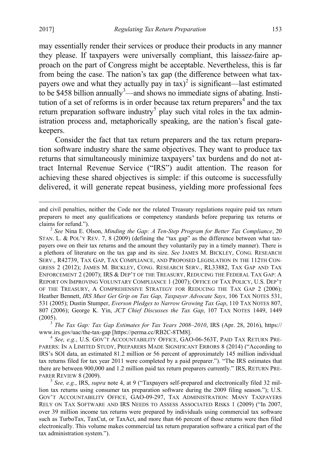$\overline{a}$ 

<span id="page-3-7"></span><span id="page-3-6"></span>may essentially render their services or produce their products in any manner they please. If taxpayers were universally compliant, this laissez-faire approach on the part of Congress might be acceptable. Nevertheless, this is far from being the case. The nation's tax gap (the difference between what taxpayers owe and what they actually pay in  $\text{tax}$ <sup>[2](#page-3-1)</sup> is significant—last estimated to be \$458 billion annually<sup>[3](#page-3-2)</sup>—and shows no immediate signs of abating. Insti-tution of a set of reforms is in order because tax return preparers<sup>[4](#page-3-3)</sup> and the tax return preparation software industry<sup>[5](#page-3-4)</sup> play such vital roles in the tax administration process and, metaphorically speaking, are the nation's fiscal gatekeepers.

<span id="page-3-5"></span><span id="page-3-0"></span>Consider the fact that tax return preparers and the tax return preparation software industry share the same objectives. They want to produce tax returns that simultaneously minimize taxpayers' tax burdens and do not attract Internal Revenue Service ("IRS") audit attention. The reason for achieving these shared objectives is simple: if this outcome is successfully delivered, it will generate repeat business, yielding more professional fees

<span id="page-3-1"></span>STAN. L. & POL'Y REV. 7, 8 (2009) (defining the "tax gap" as the difference between what taxpayers owe on their tax returns and the amount they voluntarily pay in a timely manner). There is a plethora of literature on the tax gap and its size. *See* JAMES M. BICKLEY, CONG. RESEARCH SERV., R42739, TAX GAP, TAX COMPLIANCE, AND PROPOSED LEGISLATION IN THE 112TH CON-GRESS 2 (2012); JAMES M. BICKLEY, CONG. RESEARCH SERV., RL33882, TAX GAP AND TAX ENFORCEMENT 2 (2007); IRS & DEP'T OF THE TREASURY, REDUCING THE FEDERAL TAX GAP: A REPORT ON IMPROVING VOLUNTARY COMPLIANCE 1 (2007); OFFICE OF TAX POLICY, U.S. DEP'T OF THE TREASURY, A COMPREHENSIVE STRATEGY FOR REDUCING THE TAX GAP 2 (2006); Heather Bennett, *IRS Must Get Grip on Tax Gap, Taxpayer Advocate Says*, 106 TAX NOTES 531, 531 (2005); Dustin Stumper, *Everson Pledges to Narrow Growing Tax Gap*, 110 TAX NOTES 807, 807 (2006); George K. Yin, *JCT Chief Discusses the Tax Gap*, 107 TAX NOTES 1449, 1449 (2005). <sup>3</sup> *The Tax Gap: Tax Gap Estimates for Tax Years 2008–2010*, IRS (Apr. 28, 2016), https://

<span id="page-3-2"></span>www.irs.gov/uac/the-tax-gap [https://perma.cc/RB2C-8TM8].<br><sup>4</sup> *See, e.g.*, U.S. GOV'T ACCOUNTABILITY OFFICE, GAO-06-563T, PAID TAX RETURN PRE-

<span id="page-3-3"></span>PARERS: IN A LIMITED STUDY, PREPARERS MADE SIGNIFICANT ERRORS 8 (2014) ("According to IRS's SOI data, an estimated 81.2 million or 56 percent of approximately 145 million individual tax returns filed for tax year 2011 were completed by a paid preparer."). "The IRS estimates that there are between 900,000 and 1.2 million paid tax return preparers currently." IRS, RETURN PRE-PARER REVIEW 8 (2009). <sup>5</sup> *See, e.g.*, IRS, *supra* note [4,](#page-3-0) at 9 ("Taxpayers self-prepared and electronically filed 32 mil-

<span id="page-3-4"></span>lion tax returns using consumer tax preparation software during the 2009 filing season."); U.S. GOV'T ACCOUNTABILITY OFFICE, GAO-09-297, TAX ADMINISTRATION: MANY TAXPAYERS RELY ON TAX SOFTWARE AND IRS NEEDS TO ASSESS ASSOCIATED RISKS 1 (2009) ("In 2007, over 39 million income tax returns were prepared by individuals using commercial tax software such as TurboTax, TaxCut, or TaxAct, and more than 66 percent of those returns were then filed electronically. This volume makes commercial tax return preparation software a critical part of the tax administration system.").

and civil penalties, neither the Code nor the related Treasury regulations require paid tax return preparers to meet any qualifications or competency standards before preparing tax returns or claims for refund."). <sup>2</sup> *See* Nina E. Olson, *Minding the Gap: A Ten-Step Program for Better Tax Compliance*, 20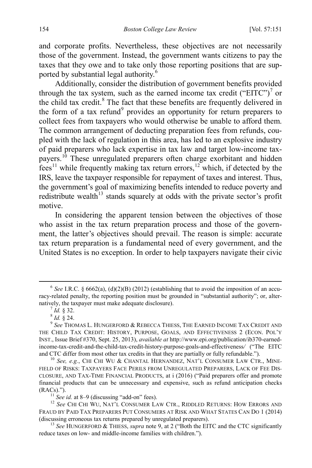and corporate profits. Nevertheless, these objectives are not necessarily those of the government. Instead, the government wants citizens to pay the taxes that they owe and to take only those reporting positions that are supported by substantial legal authority.[6](#page-4-1)

<span id="page-4-0"></span>Additionally, consider the distribution of government benefits provided through the tax system, such as the earned income tax credit ("EITC")<sup>[7](#page-4-2)</sup> or the child tax credit.<sup>[8](#page-4-3)</sup> The fact that these benefits are frequently delivered in the form of a tax refund<sup>[9](#page-4-4)</sup> provides an opportunity for return preparers to collect fees from taxpayers who would otherwise be unable to afford them. The common arrangement of deducting preparation fees from refunds, coupled with the lack of regulation in this area, has led to an explosive industry of paid preparers who lack expertise in tax law and target low-income tax-payers.<sup>[10](#page-4-5)</sup> These unregulated preparers often charge exorbitant and hidden  $f$ <sub>thes</sub><sup>[11](#page-4-6)</sup> while frequently making tax return errors,<sup>[12](#page-4-7)</sup> which, if detected by the IRS, leave the taxpayer responsible for repayment of taxes and interest. Thus, the government's goal of maximizing benefits intended to reduce poverty and redistribute wealth<sup>[13](#page-4-8)</sup> stands squarely at odds with the private sector's profit motive.

<span id="page-4-10"></span><span id="page-4-9"></span>In considering the apparent tension between the objectives of those who assist in the tax return preparation process and those of the government, the latter's objectives should prevail. The reason is simple: accurate tax return preparation is a fundamental need of every government, and the United States is no exception. In order to help taxpayers navigate their civic

<span id="page-4-1"></span> $6$  *See* I.R.C. § 6662(a), (d)(2)(B) (2012) (establishing that to avoid the imposition of an accuracy-related penalty, the reporting position must be grounded in "substantial authority"; or, alternatively, the taxpayer must make adequate disclosure).<br>
<sup>7</sup> *Id.* § 32.<br>
<sup>8</sup> *Id.* § 24.<br>
<sup>9</sup> *See* THOMAS L. HUNGERFORD & REBECCA THIESS, THE EARNED INCOME TAX CREDIT AND

<span id="page-4-4"></span><span id="page-4-3"></span><span id="page-4-2"></span>THE CHILD TAX CREDIT: HISTORY, PURPOSE, GOALS, AND EFFECTIVENESS 2 (ECON. POL'Y INST., Issue Brief #370, Sept. 25, 2013), *available at* http://www.epi.org/publication/ib370-earnedincome-tax-credit-and-the-child-tax-credit-history-purpose-goals-and-effectiveness*/* ("The EITC

<span id="page-4-5"></span><sup>&</sup>lt;sup>10</sup> See, e.g., CHI CHI WU & CHANTAL HERNANDEZ, NAT'L CONSUMER LAW CTR., MINE-FIELD OF RISKS: TAXPAYERS FACE PERILS FROM UNREGULATED PREPARERS, LACK OF FEE DIS-CLOSURE, AND TAX-TIME FINANCIAL PRODUCTS, at i (2016) ("Paid preparers offer and promote financial products that can be unnecessary and expensive, such as refund anticipation checks (RACs)."). <sup>11</sup> *See id.* at 8–9 (discussing "add-on" fees). <sup>12</sup> *See* CHI CHI WU, NAT'L CONSUMER LAW CTR., RIDDLED RETURNS: HOW ERRORS AND

<span id="page-4-7"></span><span id="page-4-6"></span>FRAUD BY PAID TAX PREPARERS PUT CONSUMERS AT RISK AND WHAT STATES CAN DO 1 (2014) (discussing erroneous tax returns prepared by unregulated preparers). <sup>13</sup> *See* HUNGERFORD & THIESS, *supra* note [9,](#page-4-0) at 2 ("Both the EITC and the CTC significantly

<span id="page-4-8"></span>reduce taxes on low- and middle-income families with children.").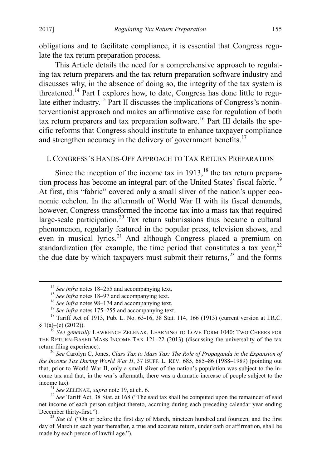obligations and to facilitate compliance, it is essential that Congress regulate the tax return preparation process.

This Article details the need for a comprehensive approach to regulating tax return preparers and the tax return preparation software industry and discusses why, in the absence of doing so, the integrity of the tax system is threatened.[14](#page-5-3) Part I explores how, to date, Congress has done little to regu-late either industry.<sup>[15](#page-5-4)</sup> Part II discusses the implications of Congress's noninterventionist approach and makes an affirmative case for regulation of both tax return preparers and tax preparation software.<sup>[16](#page-5-5)</sup> Part III details the specific reforms that Congress should institute to enhance taxpayer compliance and strengthen accuracy in the delivery of government benefits.<sup>17</sup>

#### <span id="page-5-2"></span><span id="page-5-1"></span><span id="page-5-0"></span>I. CONGRESS'S HANDS-OFF APPROACH TO TAX RETURN PREPARATION

Since the inception of the income tax in  $1913$ ,<sup>[18](#page-5-7)</sup> the tax return prepara-tion process has become an integral part of the United States' fiscal fabric.<sup>[19](#page-5-8)</sup> At first, this "fabric" covered only a small sliver of the nation's upper economic echelon. In the aftermath of World War II with its fiscal demands, however, Congress transformed the income tax into a mass tax that required large-scale participation.[20](#page-5-9) Tax return submissions thus became a cultural phenomenon, regularly featured in the popular press, television shows, and even in musical lyrics.<sup>21</sup> And although Congress placed a premium on standardization (for example, the time period that constitutes a tax year,  $^{22}$  $^{22}$  $^{22}$ ) the due date by which taxpayers must submit their returns, $^{23}$  $^{23}$  $^{23}$  and the forms

<span id="page-5-9"></span><sup>20</sup> See Carolyn C. Jones, *Class Tax to Mass Tax: The Role of Propaganda in the Expansion of the Income Tax During World War II*, 37 BUFF. L. REV. 685, 685–86 (1988–1989) (pointing out that, prior to World War II, only a small sliver of the nation's population was subject to the income tax and that, in the war's aftermath, there was a dramatic increase of people subject to the income tax). <sup>21</sup> *See* ZELENAK, *supra* not[e 19,](#page-5-2) at ch. 6. <sup>22</sup> *See* Tariff Act, 38 Stat. at 168 ("The said tax shall be computed upon the remainder of said

<span id="page-5-11"></span><span id="page-5-10"></span>net income of each person subject thereto, accruing during each preceding calendar year ending

<span id="page-5-5"></span><span id="page-5-4"></span><span id="page-5-3"></span><sup>&</sup>lt;sup>14</sup> See infra note[s 18–](#page-5-1)[255](#page-53-0) and accompanying text.<br><sup>15</sup> See infra notes 18–[97](#page-18-1) and accompanying text.<br><sup>16</sup> See infra note[s 98–](#page-18-2)[174](#page-33-1) and accompanying text.<br><sup>17</sup> See infra note[s 175](#page-33-2)[–255](#page-53-0) and accompanying text.<br><sup>17</sup> See infra no

<span id="page-5-8"></span><span id="page-5-7"></span><span id="page-5-6"></span><sup>&</sup>lt;sup>(9</sup> See generally LAWRENCE ZELENAK, LEARNING TO LOVE FORM 1040: TWO CHEERS FOR THE RETURN-BASED MASS INCOME TAX 121-22 (2013) (discussing the universality of the tax return filing experience).

<span id="page-5-12"></span><sup>&</sup>lt;sup>23</sup> *See id.* ("On or before the first day of March, nineteen hundred and fourteen, and the first day of March in each year thereafter, a true and accurate return, under oath or affirmation, shall be made by each person of lawful age.").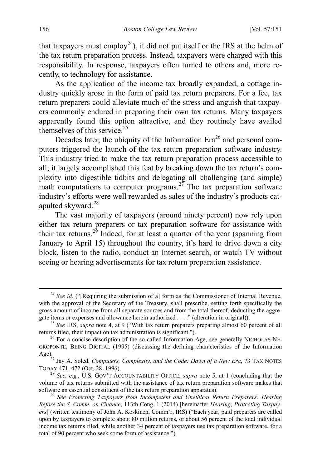that taxpayers must employ<sup>24</sup>), it did not put itself or the IRS at the helm of the tax return preparation process. Instead, taxpayers were charged with this responsibility. In response, taxpayers often turned to others and, more recently, to technology for assistance.

As the application of the income tax broadly expanded, a cottage industry quickly arose in the form of paid tax return preparers. For a fee, tax return preparers could alleviate much of the stress and anguish that taxpayers commonly endured in preparing their own tax returns. Many taxpayers apparently found this option attractive, and they routinely have availed themselves of this service.<sup>[25](#page-6-1)</sup>

Decades later, the ubiquity of the Information  $Era^{26}$  $Era^{26}$  $Era^{26}$  and personal computers triggered the launch of the tax return preparation software industry. This industry tried to make the tax return preparation process accessible to all; it largely accomplished this feat by breaking down the tax return's complexity into digestible tidbits and delegating all challenging (and simple) math computations to computer programs.<sup>[27](#page-6-3)</sup> The tax preparation software industry's efforts were well rewarded as sales of the industry's products cat-apulted skyward.<sup>[28](#page-6-4)</sup>

<span id="page-6-6"></span>The vast majority of taxpayers (around ninety percent) now rely upon either tax return preparers or tax preparation software for assistance with their tax returns.<sup>[29](#page-6-5)</sup> Indeed, for at least a quarter of the year (spanning from January to April 15) throughout the country, it's hard to drive down a city block, listen to the radio, conduct an Internet search, or watch TV without seeing or hearing advertisements for tax return preparation assistance.

<span id="page-6-0"></span><sup>&</sup>lt;sup>24</sup> *See id.* ("[Requiring the submission of a] form as the Commissioner of Internal Revenue, with the approval of the Secretary of the Treasury, shall prescribe, setting forth specifically the gross amount of income from all separate sources and from the total thereof, deducting the aggre-

<span id="page-6-1"></span>gate items or expenses and allowance herein authorized . . . ." (alteration in original)).<br><sup>25</sup> *See* IRS, *supra* note [4,](#page-3-0) at 9 ("With tax return preparers preparing almost 60 percent of all returns filed, their impact on

<span id="page-6-2"></span> $26$  For a concise description of the so-called Information Age, see generally NICHOLAS NE-GROPONTE, BEING DIGITAL (1995) (discussing the defining characteristics of the Information Age).

<span id="page-6-3"></span><sup>27</sup> Jay A. Soled, *Computers, Complexity, and the Code: Dawn of a New Era*, 73 TAX NOTES TODAY 471, 472 (Oct. 28, 1996). <sup>28</sup> *See, e.g.*, U.S. GOV'T ACCOUNTABILITY OFFICE, *supra* note [5,](#page-3-5) at 1 (concluding that the

<span id="page-6-4"></span>volume of tax returns submitted with the assistance of tax return preparation software makes that

<span id="page-6-5"></span><sup>&</sup>lt;sup>29</sup> See Protecting Taxpayers from Incompetent and Unethical Return Preparers: Hearing *Before the S. Comm. on Finance*, 113th Cong. 1 (2014) [hereinafter *Hearing*, *Protecting Taxpayers*] (written testimony of John A. Koskinen, Comm'r, IRS) ("Each year, paid preparers are called upon by taxpayers to complete about 80 million returns, or about 56 percent of the total individual income tax returns filed, while another 34 percent of taxpayers use tax preparation software, for a total of 90 percent who seek some form of assistance.").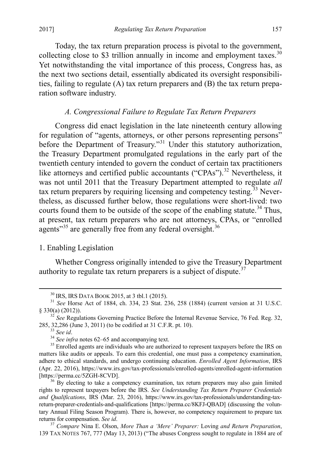Today, the tax return preparation process is pivotal to the government, collecting close to \$3 trillion annually in income and employment taxes.<sup>[30](#page-7-2)</sup> Yet notwithstanding the vital importance of this process, Congress has, as the next two sections detail, essentially abdicated its oversight responsibilities, failing to regulate (A) tax return preparers and (B) the tax return preparation software industry.

#### <span id="page-7-11"></span>*A. Congressional Failure to Regulate Tax Return Preparers*

<span id="page-7-0"></span>Congress did enact legislation in the late nineteenth century allowing for regulation of "agents, attorneys, or other persons representing persons" before the Department of Treasury."<sup>[31](#page-7-3)</sup> Under this statutory authorization, the Treasury Department promulgated regulations in the early part of the twentieth century intended to govern the conduct of certain tax practitioners like attorneys and certified public accountants ("CPAs").<sup>[32](#page-7-4)</sup> Nevertheless, it was not until 2011 that the Treasury Department attempted to regulate *all* tax return preparers by requiring licensing and competency testing.<sup>[33](#page-7-5)</sup> Nevertheless, as discussed further below, those regulations were short-lived: two courts found them to be outside of the scope of the enabling statute.<sup>34</sup> Thus, at present, tax return preparers who are not attorneys, CPAs, or "enrolled agents"<sup>[35](#page-7-7)</sup> are generally free from any federal oversight.<sup>[36](#page-7-8)</sup>

# <span id="page-7-1"></span>1. Enabling Legislation

Whether Congress originally intended to give the Treasury Department authority to regulate tax return preparers is a subject of dispute.<sup>[37](#page-7-9)</sup>

<span id="page-7-9"></span>139 TAX NOTES 767, 777 (May 13, 2013) ("The abuses Congress sought to regulate in 1884 are of

<span id="page-7-10"></span>

<span id="page-7-3"></span><span id="page-7-2"></span><sup>&</sup>lt;sup>30</sup> IRS, IRS DATA BOOK 2015, at 3 tbl.1 (2015).<br><sup>31</sup> *See* Horse Act of 1884, ch. 334, 23 Stat. 236, 258 (1884) (current version at 31 U.S.C. § 330(a) (2012)).

<span id="page-7-4"></span><sup>&</sup>lt;sup>32</sup> See Regulations Governing Practice Before the Internal Revenue Service, 76 Fed. Reg. 32, 285, 32,286 (June 3, 2011) (to be codified at 31 C.F.R. pt. 10).

<span id="page-7-7"></span><span id="page-7-6"></span><span id="page-7-5"></span><sup>&</sup>lt;sup>33</sup> See id.<br><sup>34</sup> See infra notes [62–](#page-12-0)[65](#page-12-1) and accompanying text.<br><sup>34</sup> See infra notes 62–65 and accompanying text.<br><sup>35</sup> Enrolled agents are individuals who are authorized to represent taxpayers before the IRS on matters like audits or appeals. To earn this credential, one must pass a competency examination, adhere to ethical standards, and undergo continuing education. *Enrolled Agent Information*, IRS (Apr. 22, 2016), https://www.irs.gov/tax-professionals/enrolled-agents/enrolled-agent-information [https://perma.cc/5ZGH-8CVD]. 36 By electing to take a competency examination, tax return preparers may also gain limited

<span id="page-7-8"></span>rights to represent taxpayers before the IRS. *See Understanding Tax Return Preparer Credentials and Qualifications*, IRS (Mar. 23, 2016), https://www.irs.gov/tax-professionals/understanding-taxreturn-preparer-credentials-and-qualifications [https://perma.cc/8KFJ-QBAD] (discussing the voluntary Annual Filing Season Program). There is, however, no competency requirement to prepare tax returns for compensation. *See id*. 37 *Compare* Nina E. Olson, *More Than a 'Mere' Preparer:* Loving *and Return Preparation*,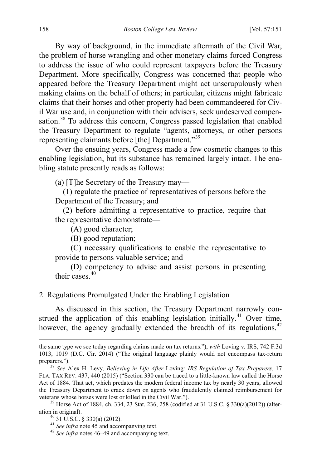By way of background, in the immediate aftermath of the Civil War, the problem of horse wrangling and other monetary claims forced Congress to address the issue of who could represent taxpayers before the Treasury Department. More specifically, Congress was concerned that people who appeared before the Treasury Department might act unscrupulously when making claims on the behalf of others; in particular, citizens might fabricate claims that their horses and other property had been commandeered for Civil War use and, in conjunction with their advisers, seek undeserved compen-sation.<sup>[38](#page-8-1)</sup> To address this concern, Congress passed legislation that enabled the Treasury Department to regulate "agents, attorneys, or other persons representing claimants before [the] Department."[39](#page-8-2)

<span id="page-8-6"></span>Over the ensuing years, Congress made a few cosmetic changes to this enabling legislation, but its substance has remained largely intact. The enabling statute presently reads as follows:

(a) [T]he Secretary of the Treasury may—

 (1) regulate the practice of representatives of persons before the Department of the Treasury; and

 (2) before admitting a representative to practice, require that the representative demonstrate—

(A) good character;

(B) good reputation;

 (C) necessary qualifications to enable the representative to provide to persons valuable service; and

 (D) competency to advise and assist persons in presenting their cases  $40$ 

# <span id="page-8-0"></span>2. Regulations Promulgated Under the Enabling Legislation

As discussed in this section, the Treasury Department narrowly con-strued the application of this enabling legislation initially.<sup>[41](#page-8-4)</sup> Over time, however, the agency gradually extended the breadth of its regulations,<sup>[42](#page-8-5)</sup>

 $\overline{a}$ 

the same type we see today regarding claims made on tax returns."), *with* Loving v. IRS, 742 F.3d 1013, 1019 (D.C. Cir. 2014) ("The original language plainly would not encompass tax-return preparers."). <sup>38</sup> *See* Alex H. Levy, *Believing in Life After* Loving*: IRS Regulation of Tax Preparers*, 17

<span id="page-8-1"></span>FLA. TAX REV. 437, 440 (2015) ("Section 330 can be traced to a little-known law called the Horse Act of 1884. That act, which predates the modern federal income tax by nearly 30 years, allowed the Treasury Department to crack down on agents who fraudulently claimed reimbursement for veterans whose horses were lost or killed in the Civil War.").

<span id="page-8-5"></span><span id="page-8-4"></span><span id="page-8-3"></span><span id="page-8-2"></span><sup>&</sup>lt;sup>39</sup> Horse Act of 1884, ch. 334, 23 Stat. 236, 258 (codified at 31 U.S.C. § 330(a)(2012)) (alteration in original).<br>
<sup>40</sup> 31 U.S.C. § 330(a) (2012).<br>
<sup>41</sup> *See infra* note [45](#page-9-0) and accompanying text.<br>
<sup>42</sup> *See infra* note[s 46–](#page-9-1)[49](#page-10-0) and accompanying text.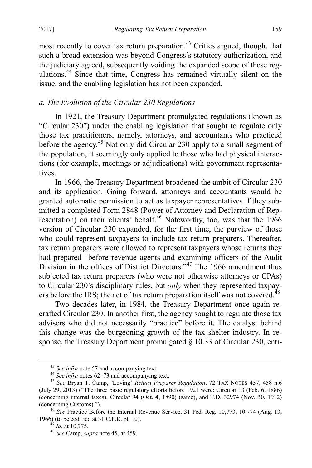most recently to cover tax return preparation.<sup>[43](#page-9-2)</sup> Critics argued, though, that such a broad extension was beyond Congress's statutory authorization, and the judiciary agreed, subsequently voiding the expanded scope of these regulations.[44](#page-9-3) Since that time, Congress has remained virtually silent on the issue, and the enabling legislation has not been expanded.

# *a. The Evolution of the Circular 230 Regulations*

<span id="page-9-0"></span>In 1921, the Treasury Department promulgated regulations (known as "Circular 230") under the enabling legislation that sought to regulate only those tax practitioners, namely, attorneys, and accountants who practiced before the agency.<sup>[45](#page-9-4)</sup> Not only did Circular 230 apply to a small segment of the population, it seemingly only applied to those who had physical interactions (for example, meetings or adjudications) with government representatives.

<span id="page-9-1"></span>In 1966, the Treasury Department broadened the ambit of Circular 230 and its application. Going forward, attorneys and accountants would be granted automatic permission to act as taxpayer representatives if they submitted a completed Form 2848 (Power of Attorney and Declaration of Rep-resentation) on their clients' behalf.<sup>[46](#page-9-5)</sup> Noteworthy, too, was that the 1966 version of Circular 230 expanded, for the first time, the purview of those who could represent taxpayers to include tax return preparers. Thereafter, tax return preparers were allowed to represent taxpayers whose returns they had prepared "before revenue agents and examining officers of the Audit Division in the offices of District Directors."<sup>[47](#page-9-6)</sup> The 1966 amendment thus subjected tax return preparers (who were not otherwise attorneys or CPAs) to Circular 230's disciplinary rules, but *only* when they represented taxpay-ers before the IRS; the act of tax return preparation itself was not covered.<sup>[48](#page-9-7)</sup>

Two decades later, in 1984, the Treasury Department once again recrafted Circular 230. In another first, the agency sought to regulate those tax advisers who did not necessarily "practice" before it. The catalyst behind this change was the burgeoning growth of the tax shelter industry. In response, the Treasury Department promulgated § 10.33 of Circular 230, enti-

<span id="page-9-4"></span><span id="page-9-3"></span><span id="page-9-2"></span><sup>43</sup> *See infra* note [57](#page-11-0) and accompanying text. <sup>44</sup> *See infra* note[s 62–](#page-12-0)[73](#page-13-1) and accompanying text. <sup>45</sup> *See* Bryan T. Camp, *'*Loving' *Return Preparer Regulation*, 72 TAX NOTES 457, 458 n.6 (July 29, 2013) ("The three basic regulatory efforts before 1921 were: Circular 13 (Feb. 6, 1886) (concerning internal taxes), Circular 94 (Oct. 4, 1890) (same), and T.D. 32974 (Nov. 30, 1912) (concerning Customs)."). <sup>46</sup> *See* Practice Before the Internal Revenue Service, 31 Fed. Reg. 10,773, 10,774 (Aug. 13,

<span id="page-9-7"></span><span id="page-9-6"></span><span id="page-9-5"></span><sup>1966)</sup> (to be codified at 31 C.F.R. pt. 10). 47 *Id.* at 10,775*.* <sup>48</sup> *See* Camp, *supra* not[e 45,](#page-9-0) at 459.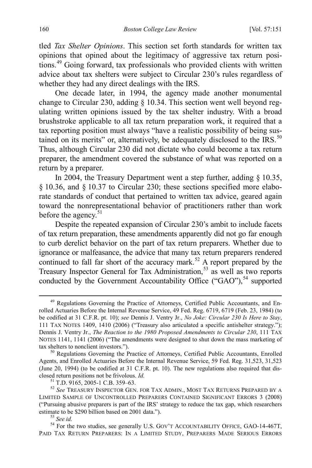<span id="page-10-0"></span>tled *Tax Shelter Opinions*. This section set forth standards for written tax opinions that opined about the legitimacy of aggressive tax return positions.[49](#page-10-1) Going forward, tax professionals who provided clients with written advice about tax shelters were subject to Circular 230's rules regardless of whether they had any direct dealings with the IRS.

One decade later, in 1994, the agency made another monumental change to Circular 230, adding § 10.34. This section went well beyond regulating written opinions issued by the tax shelter industry. With a broad brushstroke applicable to all tax return preparation work, it required that a tax reporting position must always "have a realistic possibility of being sus-tained on its merits" or, alternatively, be adequately disclosed to the IRS.<sup>[50](#page-10-2)</sup> Thus, although Circular 230 did not dictate who could become a tax return preparer, the amendment covered the substance of what was reported on a return by a preparer.

In 2004, the Treasury Department went a step further, adding § 10.35, § 10.36, and § 10.37 to Circular 230; these sections specified more elaborate standards of conduct that pertained to written tax advice, geared again toward the nonrepresentational behavior of practitioners rather than work before the agency.<sup>[51](#page-10-3)</sup>

Despite the repeated expansion of Circular 230's ambit to include facets of tax return preparation, these amendments apparently did not go far enough to curb derelict behavior on the part of tax return preparers. Whether due to ignorance or malfeasance, the advice that many tax return preparers rendered continued to fall far short of the accuracy mark.<sup>[52](#page-10-4)</sup> A report prepared by the Treasury Inspector General for Tax Administration,<sup>[53](#page-10-5)</sup> as well as two reports conducted by the Government Accountability Office ("GAO"),<sup>[54](#page-10-6)</sup> supported

<span id="page-10-1"></span><sup>&</sup>lt;sup>49</sup> Regulations Governing the Practice of Attorneys, Certified Public Accountants, and Enrolled Actuaries Before the Internal Revenue Service, 49 Fed. Reg. 6719, 6719 (Feb. 23, 1984) (to be codified at 31 C.F.R. pt. 10); *see* Dennis J. Ventry Jr., *No Joke: Circular 230 Is Here to Stay*, 111 TAX NOTES 1409, 1410 (2006) ("Treasury also articulated a specific antishelter strategy."); Dennis J. Ventry Jr., *The Reaction to the 1980 Proposed Amendments to Circular 230*, 111 TAX NOTES 1141, 1141 (2006) ("The amendments were designed to shut down the mass marketing of tax shelters to nonclient investors.").

<span id="page-10-2"></span> $50$  Regulations Governing the Practice of Attorneys, Certified Public Accountants, Enrolled Agents, and Enrolled Actuaries Before the Internal Revenue Service, 59 Fed. Reg. 31,523, 31,523 (June 20, 1994) (to be codified at 31 C.F.R. pt. 10). The new regulations also required that disclosed return positions not be frivolous. *Id.* 51<br>51 T.D. 9165, 2005-1 C.B. 359–63. 52<br>52 *See* TREASURY INSPECTOR GEN. FOR TAX ADMIN., MOST TAX RETURNS PREPARED BY A

<span id="page-10-4"></span><span id="page-10-3"></span>LIMITED SAMPLE OF UNCONTROLLED PREPARERS CONTAINED SIGNIFICANT ERRORS 3 (2008) ("Pursuing abusive preparers is part of the IRS" strategy to reduce the tax gap, which researchers estimate to be \$290 billion based on 2001 data.").

<span id="page-10-6"></span><span id="page-10-5"></span><sup>&</sup>lt;sup>53</sup> See id.<br><sup>54</sup> For the two studies, see generally U.S. GOV'T ACCOUNTABILITY OFFICE, GAO-14-467T, PAID TAX RETURN PREPARERS: IN A LIMITED STUDY, PREPARERS MADE SERIOUS ERRORS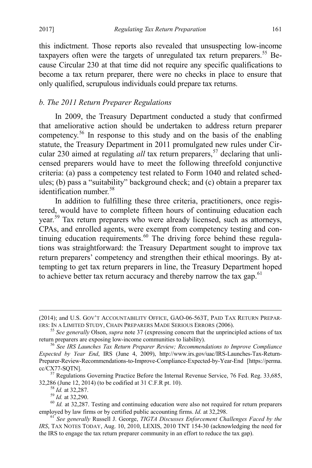this indictment. Those reports also revealed that unsuspecting low-income taxpayers often were the targets of unregulated tax return preparers.<sup>55</sup> Because Circular 230 at that time did not require any specific qualifications to become a tax return preparer, there were no checks in place to ensure that only qualified, scrupulous individuals could prepare tax returns.

# *b. The 2011 Return Preparer Regulations*

<span id="page-11-8"></span><span id="page-11-0"></span>In 2009, the Treasury Department conducted a study that confirmed that ameliorative action should be undertaken to address return preparer competency.[56](#page-11-2) In response to this study and on the basis of the enabling statute, the Treasury Department in 2011 promulgated new rules under Circular 230 aimed at regulating *all* tax return preparers,<sup>[57](#page-11-3)</sup> declaring that unlicensed preparers would have to meet the following threefold conjunctive criteria: (a) pass a competency test related to Form 1040 and related schedules; (b) pass a "suitability" background check; and (c) obtain a preparer tax identification number.<sup>[58](#page-11-4)</sup>

In addition to fulfilling these three criteria, practitioners, once registered, would have to complete fifteen hours of continuing education each year.<sup>[59](#page-11-5)</sup> Tax return preparers who were already licensed, such as attorneys, CPAs, and enrolled agents, were exempt from competency testing and continuing education requirements. $60$  The driving force behind these regulations was straightforward: the Treasury Department sought to improve tax return preparers' competency and strengthen their ethical moorings. By attempting to get tax return preparers in line, the Treasury Department hoped to achieve better tax return accuracy and thereby narrow the tax gap. $61$ 

<span id="page-11-9"></span> $\overline{a}$ 

<sup>(2014);</sup> and U.S. Gov't Accountability Office, GAO-06-563T, Paid Tax Return Prepar-<br>Ers: In a Limited Study, Chain Preparers Made Serious Errors (2006).

<span id="page-11-1"></span><sup>&</sup>lt;sup>55</sup> See generally Olson, *supra* not[e 37](#page-7-10) (expressing concern that the unprincipled actions of tax return preparers are exposing low-income communities to liability). <sup>56</sup> *See IRS Launches Tax Return Preparer Review; Recommendations to Improve Compliance* 

<span id="page-11-2"></span>*Expected by Year End*, IRS (June 4, 2009), http://www.irs.gov/uac/IRS-Launches-Tax-Return-Preparer-Review-Recommendations-to-Improve-Compliance-Expected-by-Year-End [https://perma.  $cc/CX77$ -SQTN].<br><sup>57</sup> Regulations Governing Practice Before the Internal Revenue Service, 76 Fed. Reg. 33,685,

<span id="page-11-3"></span>

<span id="page-11-5"></span><span id="page-11-4"></span><sup>32,286 (</sup>June 12, 2014) (to be codified at 31 C.F.R pt. 10).<br><sup>59</sup> *Id.* at 32,287.<br><sup>59</sup> *Id.* at 32,290.<br><sup>60</sup> *Id.* at 32,287. Testing and continuing education were also not required for return preparers<br>employed by law fir

<span id="page-11-7"></span><span id="page-11-6"></span><sup>&</sup>lt;sup>61</sup> See generally Russell J. George, *TIGTA Discusses Enforcement Challenges Faced by the IRS*, TAX NOTES TODAY, Aug. 10, 2010, LEXIS, 2010 TNT 154-30 (acknowledging the need for the IRS to engage the tax return preparer community in an effort to reduce the tax gap).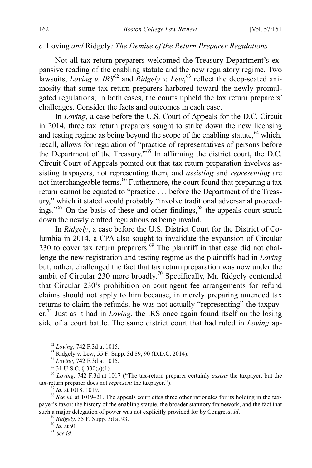#### *c.* Loving *and* Ridgely*: The Demise of the Return Preparer Regulations*

<span id="page-12-0"></span>Not all tax return preparers welcomed the Treasury Department's expansive reading of the enabling statute and the new regulatory regime. Two lawsuits, *Loving v. IRS*<sup>[62](#page-12-2)</sup> and *Ridgely v. Lew*,<sup>[63](#page-12-3)</sup> reflect the deep-seated animosity that some tax return preparers harbored toward the newly promulgated regulations; in both cases, the courts upheld the tax return preparers' challenges. Consider the facts and outcomes in each case.

<span id="page-12-12"></span><span id="page-12-1"></span>In *Loving*, a case before the U.S. Court of Appeals for the D.C. Circuit in 2014, three tax return preparers sought to strike down the new licensing and testing regime as being beyond the scope of the enabling statute,  $64$  which, recall, allows for regulation of "practice of representatives of persons before the Department of the Treasury."[65](#page-12-5) In affirming the district court, the D.C. Circuit Court of Appeals pointed out that tax return preparation involves assisting taxpayers, not representing them, and *assisting* and *representing* are not interchangeable terms.<sup>[66](#page-12-6)</sup> Furthermore, the court found that preparing a tax return cannot be equated to "practice . . . before the Department of the Treasury," which it stated would probably "involve traditional adversarial proceedings." $67$  On the basis of these and other findings, $68$  the appeals court struck down the newly crafted regulations as being invalid.

<span id="page-12-13"></span>In *Ridgely*, a case before the U.S. District Court for the District of Columbia in 2014, a CPA also sought to invalidate the expansion of Circular 230 to cover tax return preparers.<sup>[69](#page-12-9)</sup> The plaintiff in that case did not challenge the new registration and testing regime as the plaintiffs had in *Loving*  but, rather, challenged the fact that tax return preparation was now under the ambit of Circular 230 more broadly.<sup>[70](#page-12-10)</sup> Specifically, Mr. Ridgely contended that Circular 230's prohibition on contingent fee arrangements for refund claims should not apply to him because, in merely preparing amended tax returns to claim the refunds, he was not actually "representing" the taxpay-er.<sup>[71](#page-12-11)</sup> Just as it had in *Loving*, the IRS once again found itself on the losing side of a court battle. The same district court that had ruled in *Loving* ap-

<span id="page-12-5"></span><span id="page-12-4"></span><span id="page-12-3"></span><span id="page-12-2"></span><sup>&</sup>lt;sup>62</sup> Loving, 742 F.3d at 1015.<br><sup>63</sup> Ridgely v. Lew, 55 F. Supp. 3d 89, 90 (D.D.C. 2014).<br><sup>64</sup> Loving, 742 F.3d at 1015.<br><sup>65</sup> 31 U.S.C. § 330(a)(1).<br><sup>66</sup> Loving, 742 F.3d at 1017 ("The tax-return preparer certainly *assist* tax-return preparer does not *represent* the taxpayer.").<br><sup>67</sup> *Id.* at 1018, 1019.<br><sup>68</sup> *See id.* at 1019–21. The appeals court cites three other rationales for its holding in the tax-

<span id="page-12-10"></span><span id="page-12-9"></span><span id="page-12-8"></span><span id="page-12-7"></span><span id="page-12-6"></span>payer's favor: the history of the enabling statute, the broader statutory framework, and the fact that such a major delegation of power was not explicitly provided for by Congress. *Id.* <sup>69</sup> *Ridgely*, 55 F. Supp. 3d at 93. <sup>70</sup> *Id.* at 91. <sup>71</sup> *See id.* 

<span id="page-12-11"></span>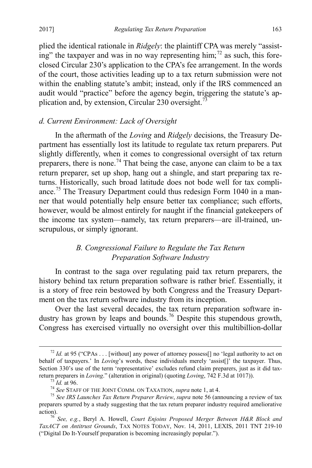plied the identical rationale in *Ridgely*: the plaintiff CPA was merely "assist-ing" the taxpayer and was in no way representing him;<sup>[72](#page-13-2)</sup> as such, this foreclosed Circular 230's application to the CPA's fee arrangement. In the words of the court, those activities leading up to a tax return submission were not within the enabling statute's ambit; instead, only if the IRS commenced an audit would "practice" before the agency begin, triggering the statute's ap-plication and, by extension, Circular 230 oversight.<sup>[73](#page-13-3)</sup>

# <span id="page-13-1"></span>*d. Current Environment: Lack of Oversight*

In the aftermath of the *Loving* and *Ridgely* decisions, the Treasury Department has essentially lost its latitude to regulate tax return preparers. Put slightly differently, when it comes to congressional oversight of tax return preparers, there is none.<sup>[74](#page-13-4)</sup> That being the case, anyone can claim to be a tax return preparer, set up shop, hang out a shingle, and start preparing tax returns. Historically, such broad latitude does not bode well for tax compli-ance.<sup>[75](#page-13-5)</sup> The Treasury Department could thus redesign Form 1040 in a manner that would potentially help ensure better tax compliance; such efforts, however, would be almost entirely for naught if the financial gatekeepers of the income tax system—namely, tax return preparers—are ill-trained, unscrupulous, or simply ignorant.

# *B. Congressional Failure to Regulate the Tax Return Preparation Software Industry*

<span id="page-13-0"></span>In contrast to the saga over regulating paid tax return preparers, the history behind tax return preparation software is rather brief. Essentially, it is a story of free rein bestowed by both Congress and the Treasury Department on the tax return software industry from its inception.

Over the last several decades, the tax return preparation software in-dustry has grown by leaps and bounds.<sup>[76](#page-13-6)</sup> Despite this stupendous growth, Congress has exercised virtually no oversight over this multibillion-dollar

<span id="page-13-2"></span><sup>&</sup>lt;sup>72</sup> *Id.* at 95 ("CPAs . . . [without] any power of attorney possess[] no 'legal authority to act on behalf of taxpayers.' In *Loving*'s words, these individuals merely 'assist[]' the taxpayer. Thus, Section 330's use of the term 'representative' excludes refund claim preparers, just as it did tax-<br>return preparers in *Loving.*" (alteration in original) (quoting *Loving*, 742 F.3d at 1017)).

<span id="page-13-5"></span><span id="page-13-4"></span><span id="page-13-3"></span><sup>&</sup>lt;sup>73</sup> *Id.* at 96.<br><sup>74</sup> See STAFF OF THE JOINT COMM. ON TAXATION, *supra* not[e 1,](#page-2-4) at 4.<br><sup>75</sup> See IRS Launches Tax Return Preparer Review, supra note [56](#page-11-8) (announcing a review of tax preparers spurred by a study suggesting that the tax return preparer industry required ameliorative

<span id="page-13-6"></span>action). 76 *See, e.g.*, Beryl A. Howell, *Court Enjoins Proposed Merger Between H&R Block and TaxACT on Antitrust Grounds*, TAX NOTES TODAY, Nov. 14, 2011, LEXIS, 2011 TNT 219-10 ("Digital Do It-Yourself preparation is becoming increasingly popular.").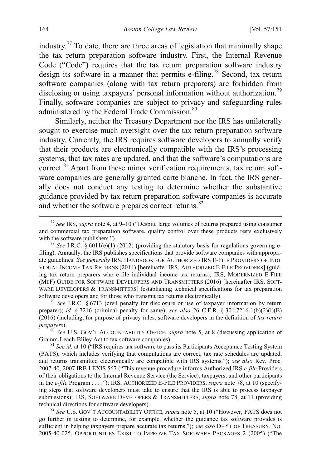<span id="page-14-0"></span>industry.<sup>[77](#page-14-1)</sup> To date, there are three areas of legislation that minimally shape the tax return preparation software industry. First, the Internal Revenue Code ("Code") requires that the tax return preparation software industry design its software in a manner that permits e-filing.[78](#page-14-2) Second, tax return software companies (along with tax return preparers) are forbidden from disclosing or using taxpayers' personal information without authorization.<sup>[79](#page-14-3)</sup> Finally, software companies are subject to privacy and safeguarding rules administered by the Federal Trade Commission.<sup>[80](#page-14-4)</sup>

Similarly, neither the Treasury Department nor the IRS has unilaterally sought to exercise much oversight over the tax return preparation software industry. Currently, the IRS requires software developers to annually verify that their products are electronically compatible with the IRS's processing systems, that tax rates are updated, and that the software's computations are correct. $81$  Apart from these minor verification requirements, tax return software companies are generally granted carte blanche. In fact, the IRS generally does not conduct any testing to determine whether the substantive guidance provided by tax return preparation software companies is accurate and whether the software prepares correct returns.<sup>[82](#page-14-6)</sup>

<span id="page-14-3"></span><sup>79</sup> *See* I.R.C. § 6713 (civil penalty for disclosure or use of taxpayer information by return preparer); *id.* § 7216 (criminal penalty for same); *see also* 26 C.F.R. § 301.7216-1(b)(2)(i)(B) (2016) (including, for purpose of privacy rules, software developers in the definition of *tax return preparers*). <sup>80</sup> *See U.S. GOV'T ACCOUNTABILITY OFFICE, <i>supra* note [5,](#page-3-5) at 8 (discussing application of

<span id="page-14-4"></span>Gramm-Leach-Bliley Act to tax software companies).<br><sup>81</sup> *See id.* at 10 ("IRS requires tax software to pass its Participants Acceptance Testing System

<span id="page-14-5"></span>(PATS), which includes verifying that computations are correct, tax rate schedules are updated, and returns transmitted electronically are compatible with IRS systems."); *see also* Rev. Proc. 2007-40, 2007 IRB LEXIS 567 ("This revenue procedure informs Authorized IRS *e-file* Providers of their obligations to the Internal Revenue Service (the Service), taxpayers, and other participants in the *e-file* Program . . . ."); IRS, AUTHORIZED E-FILE PROVIDERS, *supra* not[e 78,](#page-14-0) at 10 (specifying steps that software developers must take to ensure that the IRS is able to process taxpayer submissions); IRS, SOFTWARE DEVELOPERS & TRANSMITTERS, *supra* note [78,](#page-14-0) at 11 (providing technical directions for software developers). <sup>82</sup> *See* U.S. GOV'T ACCOUNTABILITY OFFICE, *supra* note [5,](#page-3-5) at 10 ("However, PATS does not

<span id="page-14-6"></span>go further in testing to determine, for example, whether the guidance tax software provides is sufficient in helping taxpayers prepare accurate tax returns."); *see also* DEP'T OF TREASURY, NO. 2005-40-025, OPPORTUNITIES EXIST TO IMPROVE TAX SOFTWARE PACKAGES 2 (2005) ("The

<span id="page-14-1"></span> <sup>77</sup> *See* IRS, *supra* note [4,](#page-3-0) at 9–10 ("Despite large volumes of returns prepared using consumer and commercial tax preparation software, quality control over these products rests exclusively with the software publishers.").

<span id="page-14-2"></span><sup>&</sup>lt;sup>78</sup> *See* I.R.C. § 6011(e)(1) (2012) (providing the statutory basis for regulations governing efiling). Annually, the IRS publishes specifications that provide software companies with appropriate guidelines. *See generally* IRS, HANDBOOK FOR AUTHORIZED IRS E-FILE PROVIDERS OF INDI-VIDUAL INCOME TAX RETURNS (2014) [hereinafter IRS, AUTHORIZED E-FILE PROVIDERS] (guiding tax return preparers who e-file individual income tax returns); IRS, MODERNIZED E-FILE (MEF) GUIDE FOR SOFTWARE DEVELOPERS AND TRANSMITTERS (2016) [hereinafter IRS, SOFT-WARE DEVELOPERS & TRANSMITTERS] (establishing technical specifications for tax preparation software developers and for those who transmit tax returns electronically).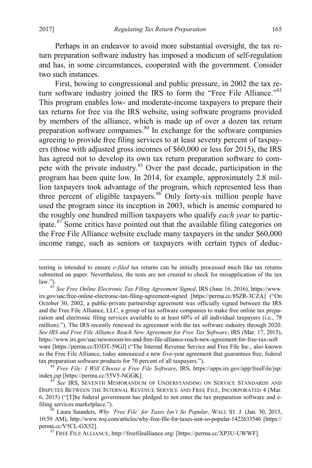<span id="page-15-5"></span> $\overline{a}$ 

Perhaps in an endeavor to avoid more substantial oversight, the tax return preparation software industry has imposed a modicum of self-regulation and has, in some circumstances, cooperated with the government. Consider two such instances.

<span id="page-15-6"></span>First, bowing to congressional and public pressure, in 2002 the tax re-turn software industry joined the IRS to form the "Free File Alliance."<sup>[83](#page-15-0)</sup> This program enables low- and moderate-income taxpayers to prepare their tax returns for free via the IRS website, using software programs provided by members of the alliance, which is made up of over a dozen tax return preparation software companies. $84$  In exchange for the software companies agreeing to provide free filing services to at least seventy percent of taxpayers (those with adjusted gross incomes of \$60,000 or less for 2015), the IRS has agreed not to develop its own tax return preparation software to com-pete with the private industry.<sup>[85](#page-15-2)</sup> Over the past decade, participation in the program has been quite low. In 2014, for example, approximately 2.8 million taxpayers took advantage of the program, which represented less than three percent of eligible taxpayers.<sup>[86](#page-15-3)</sup> Only forty-six million people have used the program since its inception in 2003, which is anemic compared to the roughly one hundred million taxpayers who qualify *each year* to participate.[87](#page-15-4) Some critics have pointed out that the available filing categories on the Free File Alliance website exclude many taxpayers in the under \$60,000 income range, such as seniors or taxpayers with certain types of deduc-

testing is intended to ensure *e-filed* tax returns can be initially processed much like tax returns submitted on paper. Nevertheless, the tests are not created to check for misapplication of the tax law.").

<span id="page-15-0"></span><sup>83</sup> *See Free Online Electronic Tax Filing Agreement Signed*, IRS (June 16, 2016), https://www. irs.gov/uac/free-online-electronic-tax-filing-agreement-signed [https://perma.cc/8SZR-3CZA] ("On October 30, 2002, a public-private partnership agreement was officially signed between the IRS and the Free File Alliance, LLC, a group of tax software companies to make free online tax preparation and electronic filing services available to at least 60% of all individual taxpayers (i.e., 78 million)."). The IRS recently renewed its agreement with the tax software industry through 2020. *See IRS and Free File Alliance Reach New Agreement for Free Tax Software*, IRS (Mar. 17, 2015), https://www.irs.gov/uac/newsroom/irs-and-free-file-alliance-reach-new-agreement-for-free-tax-soft ware [https://perma.cc/D3DT-59GJ] ("The Internal Revenue Service and Free File Inc., also known as the Free File Alliance, today announced a new five-year agreement that guarantees free, federal tax preparation software products for 70 percent of all taxpayers.").

<span id="page-15-1"></span><sup>&</sup>lt;sup>84</sup> *Free File: I Will Choose a Free File Software*, IRS, https://apps.irs.gov/app/freeFile/jsp/ index.jsp [https://perma.cc/55V5-NGGK]. 85 *See* IRS, SEVENTH MEMORANDUM OF UNDERSTANDING ON SERVICE STANDARDS AND

<span id="page-15-2"></span>DISPUTES BETWEEN THE INTERNAL REVENUE SERVICE AND FREE FILE, INCORPORATED 4 (Mar. 6, 2015) ("[T]he federal government has pledged to not enter the tax preparation software and efiling services marketplace."). <sup>86</sup> Laura Saunders, *Why 'Free File' for Taxes Isn't So Popular*, WALL ST. J. (Jan. 30, 2015,

<span id="page-15-4"></span><span id="page-15-3"></span><sup>10:59</sup> AM), http://www.wsj.com/articles/why-free-file-for-taxes-isnt-so-popular-1422633546 [https:// perma.cc/V5CL-GX52].<br><sup>87</sup> FREE FILE ALLIANCE, http://freefilealliance.org/ [https://perma.cc/XP3U-UWWF].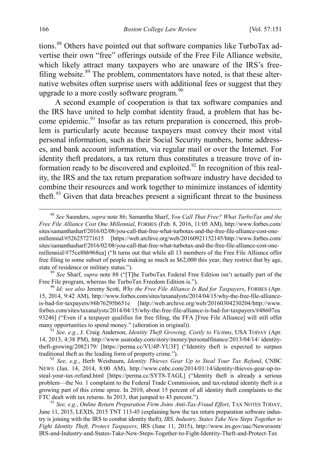<span id="page-16-8"></span><span id="page-16-0"></span>tions.<sup>[88](#page-16-1)</sup> Others have pointed out that software companies like TurboTax advertise their own "free" offerings outside of the Free File Alliance website, which likely attract many taxpayers who are unaware of the IRS's free-filing website.<sup>[89](#page-16-2)</sup> The problem, commentators have noted, is that these alternative websites often surprise users with additional fees or suggest that they upgrade to a more costly software program.<sup>[90](#page-16-3)</sup>

<span id="page-16-9"></span><span id="page-16-7"></span>A second example of cooperation is that tax software companies and the IRS have united to help combat identity fraud, a problem that has be-come epidemic.<sup>[91](#page-16-4)</sup> Insofar as tax return preparation is concerned, this problem is particularly acute because taxpayers must convey their most vital personal information, such as their Social Security numbers, home addresses, and bank account information, via regular mail or over the Internet. For identity theft predators, a tax return thus constitutes a treasure trove of in-formation ready to be discovered and exploited.<sup>[92](#page-16-5)</sup> In recognition of this reality, the IRS and the tax return preparation software industry have decided to combine their resources and work together to minimize instances of identity theft.<sup>[93](#page-16-6)</sup> Given that data breaches present a significant threat to the business

<span id="page-16-2"></span>state of residence or military status.").<br><sup>89</sup> *See* Sharf, *supra* note [88](#page-16-0) ("[T]he TurboTax Federal Free Edition isn't actually part of the Free File program, whereas the TurboTax Freedom Edition is.").

<span id="page-16-3"></span><sup>90</sup> Id; see also Jeremy Scott, *Why the Free File Alliance Is Bad for Taxpayers*, FORBES (Apr. 15, 2014, 9:42 AM), http://www.forbes.com/sites/taxanalysts/2014/04/15/why-the-free-file-allianceis-bad-for-taxpayers/#6b76295b651e [http://web.archive.org/web/20160304230204/http://www. forbes.com/sites/taxanalysts/2014/04/15/why-the-free-file-alliance-is-bad-for-taxpayers/#48607ea 93246] ("Even if a taxpayer qualifies for free filing, the FFA [Free File Alliance] will still offer many opportunities to spend money." (alteration in original)).

<span id="page-16-4"></span><sup>91</sup> See, e.g., J. Craig Anderson, *Identity Theft Growing, Costly to Victims*, USA TODAY (Apr. 14, 2013, 4:38 PM), http://www.usatoday.com/story/money/personalfinance/2013/04/14/ identitytheft-growing/2082179/ [https://perma.cc/VU4P-YU3F] ("Identity theft is expected to surpass traditional theft as the leading form of property crime."). <sup>92</sup> *See, e.g.*, Herb Weisbaum, *Identity Thieves Gear Up to Steal Your Tax Refund*, CNBC

<span id="page-16-5"></span>NEWS (Jan. 14, 2014, 8:00 AM), http://www.cnbc.com/2014/01/14/identity-thieves-gear-up-tosteal-your-tax-refund.html [https://perma.cc/SYT8-TAGL] ("Identity theft is already a serious problem—the No. 1 complaint to the Federal Trade Commission, and tax-related identity theft is a growing part of this crime spree. In 2010, about 15 percent of all identity theft complaints to the FTC dealt with tax returns. In 2013, that jumped to 43 percent.").

<span id="page-16-6"></span><sup>93</sup> See, e.g., Online Return Preparation Firm Joins Anti-Tax-Fraud Effort, TAX NOTES TODAY, June 11, 2015, LEXIS, 2015 TNT 113-45 (explaining how the tax return preparation software industry is joining with the IRS to combat identity theft); *IRS, Industry, States Take New Steps Together to Fight Identity Theft, Protect Taxpayers*, IRS (June 11, 2015), http://www.irs.gov/uac/Newsroom/ IRS-and-Industry-and-States-Take-New-Steps-Together-to-Fight-Identity-Theft-and-Protect-Tax

<span id="page-16-10"></span><span id="page-16-1"></span> <sup>88</sup> *See* Saunders, *supra* not[e 86;](#page-15-5) Samantha Sharf, *You Call That Free? What TurboTax and the Free File Alliance Cost One Millennial*, FORBES (Feb. 8, 2016, 11:05 AM), http://www.forbes.com/ sites/samanthasharf/2016/02/08/you-call-that-free-what-turbotax-and-the-free-file-alliance-cost-onemillennial/#526257271615 [https://web.archive.org/web/20160921152145/http://www.forbes.com/ sites/samanthasharf/2016/02/08/you-call-that-free-what-turbotax-and-the-free-file-alliance-cost-onemillennial/#75ce8bb968ea] ("It turns out that while all 13 members of the Free File Alliance offer free filing to some subset of people making as much as \$62,000 this year, they restrict that by age,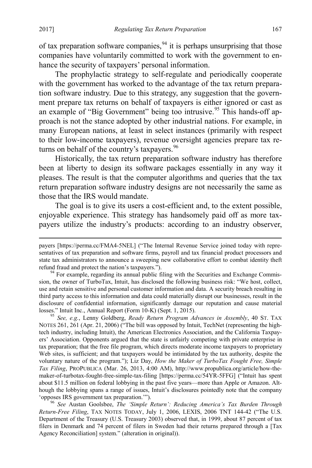$\overline{a}$ 

of tax preparation software companies,  $94$  it is perhaps unsurprising that those companies have voluntarily committed to work with the government to enhance the security of taxpayers' personal information.

<span id="page-17-3"></span>The prophylactic strategy to self-regulate and periodically cooperate with the government has worked to the advantage of the tax return preparation software industry. Due to this strategy, any suggestion that the government prepare tax returns on behalf of taxpayers is either ignored or cast as an example of "Big Government" being too intrusive.<sup>[95](#page-17-1)</sup> This hands-off approach is not the stance adopted by other industrial nations. For example, in many European nations, at least in select instances (primarily with respect to their low-income taxpayers), revenue oversight agencies prepare tax re-turns on behalf of the country's taxpayers.<sup>[96](#page-17-2)</sup>

<span id="page-17-4"></span>Historically, the tax return preparation software industry has therefore been at liberty to design its software packages essentially in any way it pleases. The result is that the computer algorithms and queries that the tax return preparation software industry designs are not necessarily the same as those that the IRS would mandate.

The goal is to give its users a cost-efficient and, to the extent possible, enjoyable experience. This strategy has handsomely paid off as more taxpayers utilize the industry's products: according to an industry observer,

<span id="page-17-2"></span><sup>96</sup> See Austan Goolsbee, *The 'Simple Return': Reducing America's Tax Burden Through Return-Free Filing*, TAX NOTES TODAY, July 1, 2006, LEXIS, 2006 TNT 144-42 ("The U.S. Department of the Treasury (U.S. Treasury 2003) observed that, in 1999, about 87 percent of tax filers in Denmark and 74 percent of filers in Sweden had their returns prepared through a [Tax Agency Reconciliation] system." (alteration in original)).

payers [https://perma.cc/FMA4-5NEL] ("The Internal Revenue Service joined today with representatives of tax preparation and software firms, payroll and tax financial product processors and state tax administrators to announce a sweeping new collaborative effort to combat identity theft refund fraud and protect the nation's taxpayers.").<br><sup>94</sup> For example, regarding its annual public filing with the Securities and Exchange Commis-

<span id="page-17-0"></span>sion, the owner of TurboTax, Intuit, has disclosed the following business risk: "We host, collect, use and retain sensitive and personal customer information and data. A security breach resulting in third party access to this information and data could materially disrupt our businesses, result in the disclosure of confidential information, significantly damage our reputation and cause material losses." Intuit Inc., Annual Report (Form 10-K) (Sept. 1, 2015). <sup>95</sup> *See, e.g.*, Lenny Goldberg, *Ready Return Program Advances in Assembly*, 40 ST. TAX

<span id="page-17-1"></span>NOTES 261, 261 (Apr. 21, 2006) ("The bill was opposed by Intuit, TechNet (representing the hightech industry, including Intuit), the American Electronics Association, and the California Taxpayers' Association. Opponents argued that the state is unfairly competing with private enterprise in tax preparation; that the free file program, which directs moderate income taxpayers to proprietary Web sites, is sufficient; and that taxpayers would be intimidated by the tax authority, despite the voluntary nature of the program."); Liz Day, *How the Maker of TurboTax Fought Free, Simple Tax Filing*, PROPUBLICA (Mar. 26, 2013, 4:00 AM), http://www.propublica.org/article/how-themaker-of-turbotax-fought-free-simple-tax-filing [https://perma.cc/54YR-5FFG] ("Intuit has spent about \$11.5 million on federal lobbying in the past five years—more than Apple or Amazon. Although the lobbying spans a range of issues, Intuit's disclosures pointedly note that the company 'opposes IRS government tax preparation."").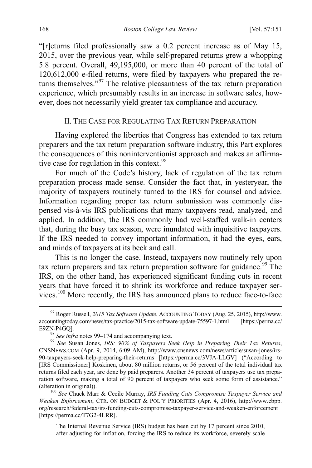"[r]eturns filed professionally saw a 0.2 percent increase as of May 15, 2015, over the previous year, while self-prepared returns grew a whopping 5.8 percent. Overall, 49,195,000, or more than 40 percent of the total of 120,612,000 e-filed returns, were filed by taxpayers who prepared the returns themselves."[97](#page-18-4) The relative pleasantness of the tax return preparation experience, which presumably results in an increase in software sales, however, does not necessarily yield greater tax compliance and accuracy.

# <span id="page-18-2"></span><span id="page-18-1"></span>II. THE CASE FOR REGULATING TAX RETURN PREPARATION

<span id="page-18-0"></span>Having explored the liberties that Congress has extended to tax return preparers and the tax return preparation software industry, this Part explores the consequences of this noninterventionist approach and makes an affirmative case for regulation in this context. $98$ 

For much of the Code's history, lack of regulation of the tax return preparation process made sense. Consider the fact that, in yesteryear, the majority of taxpayers routinely turned to the IRS for counsel and advice. Information regarding proper tax return submission was commonly dispensed vis-à-vis IRS publications that many taxpayers read, analyzed, and applied. In addition, the IRS commonly had well-staffed walk-in centers that, during the busy tax season, were inundated with inquisitive taxpayers. If the IRS needed to convey important information, it had the eyes, ears, and minds of taxpayers at its beck and call.

This is no longer the case. Instead, taxpayers now routinely rely upon tax return preparers and tax return preparation software for guidance.<sup>[99](#page-18-6)</sup> The IRS, on the other hand, has experienced significant funding cuts in recent years that have forced it to shrink its workforce and reduce taxpayer ser-vices.<sup>[100](#page-18-7)</sup> More recently, the IRS has announced plans to reduce face-to-face

<span id="page-18-7"></span><sup>100</sup> See Chuck Marr & Cecile Murray, *IRS Funding Cuts Compromise Taxpayer Service and Weaken Enforcement*, CTR. ON BUDGET & POL'Y PRIORITIES (Apr. 4, 2016), http://www.cbpp. org/research/federal-tax/irs-funding-cuts-compromise-taxpayer-service-and-weaken-enforcement [https://perma.cc/T7G2-4LRR].

The Internal Revenue Service (IRS) budget has been cut by 17 percent since 2010, after adjusting for inflation, forcing the IRS to reduce its workforce, severely scale

<span id="page-18-4"></span> <sup>97</sup> Roger Russell, *2015 Tax Software Update*, ACCOUNTING TODAY (Aug. 25, 2015), http://www. accountingtoday.com/news/tax-practice/2015-tax-software-update-75597-1.html [https://perma.cc/ E9ZN-P4GQ].<br><sup>98</sup> *See infra* note[s 99–](#page-18-3)[174](#page-33-1) and accompanying text.<br><sup>99</sup> *See* Susan Jones, *IRS: 90% of Taxpayers Seek Help in Preparing Their Tax Returns,* 

<span id="page-18-3"></span>

<span id="page-18-6"></span><span id="page-18-5"></span>CNSNEWS.COM (Apr. 9, 2014, 6:09 AM), http://www.cnsnews.com/news/article/susan-jones/irs-90-taxpayers-seek-help-preparing-their-returns [https://perma.cc/3VJA-LLGV] ("According to [IRS Commissioner] Koskinen, about 80 million returns, or 56 percent of the total individual tax returns filed each year, are done by paid preparers. Another 34 percent of taxpayers use tax preparation software, making a total of 90 percent of taxpayers who seek some form of assistance."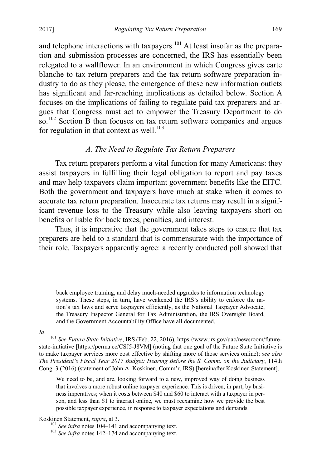and telephone interactions with taxpayers.<sup>[101](#page-19-1)</sup> At least insofar as the preparation and submission processes are concerned, the IRS has essentially been relegated to a wallflower. In an environment in which Congress gives carte blanche to tax return preparers and the tax return software preparation industry to do as they please, the emergence of these new information outlets has significant and far-reaching implications as detailed below. Section A focuses on the implications of failing to regulate paid tax preparers and argues that Congress must act to empower the Treasury Department to do so.<sup>[102](#page-19-2)</sup> Section B then focuses on tax return software companies and argues for regulation in that context as well. $^{103}$  $^{103}$  $^{103}$ 

# *A. The Need to Regulate Tax Return Preparers*

<span id="page-19-0"></span>Tax return preparers perform a vital function for many Americans: they assist taxpayers in fulfilling their legal obligation to report and pay taxes and may help taxpayers claim important government benefits like the EITC. Both the government and taxpayers have much at stake when it comes to accurate tax return preparation. Inaccurate tax returns may result in a significant revenue loss to the Treasury while also leaving taxpayers short on benefits or liable for back taxes, penalties, and interest.

Thus, it is imperative that the government takes steps to ensure that tax preparers are held to a standard that is commensurate with the importance of their role. Taxpayers apparently agree: a recently conducted poll showed that

 back employee training, and delay much-needed upgrades to information technology systems. These steps, in turn, have weakened the IRS's ability to enforce the nation's tax laws and serve taxpayers efficiently, as the National Taxpayer Advocate, the Treasury Inspector General for Tax Administration, the IRS Oversight Board, and the Government Accountability Office have all documented.

<span id="page-19-1"></span>*Id*. 101 *See Future State Initiative*, IRS (Feb. 22, 2016), https://www.irs.gov/uac/newsroom/futurestate-initiative [https://perma.cc/CSJ5-J8VM] (noting that one goal of the Future State Initiative is to make taxpayer services more cost effective by shifting more of those services online); *see also The President's Fiscal Year 2017 Budget: Hearing Before the S. Comm. on the Judiciary*, 114th Cong. 3 (2016) (statement of John A. Koskinen, Comm'r, IRS) [hereinafter Koskinen Statement].

We need to be, and are, looking forward to a new, improved way of doing business that involves a more robust online taxpayer experience. This is driven, in part, by business imperatives; when it costs between \$40 and \$60 to interact with a taxpayer in person, and less than \$1 to interact online, we must reexamine how we provide the best possible taxpayer experience, in response to taxpayer expectations and demands.

<span id="page-19-3"></span><span id="page-19-2"></span>

Koskinen Statement, *supra*, at 3.<br><sup>102</sup> *See infra* notes [104–](#page-20-1)[141](#page-26-2) and accompanying text.<br><sup>103</sup> *See infra* notes [142–](#page-27-1)[174](#page-33-1) and accompanying text.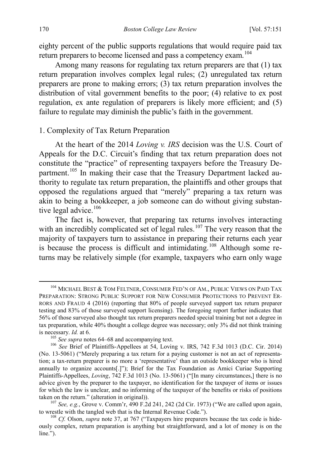<span id="page-20-1"></span>eighty percent of the public supports regulations that would require paid tax return preparers to become licensed and pass a competency exam.[104](#page-20-2)

Among many reasons for regulating tax return preparers are that (1) tax return preparation involves complex legal rules; (2) unregulated tax return preparers are prone to making errors; (3) tax return preparation involves the distribution of vital government benefits to the poor; (4) relative to ex post regulation, ex ante regulation of preparers is likely more efficient; and (5) failure to regulate may diminish the public's faith in the government.

#### <span id="page-20-0"></span>1. Complexity of Tax Return Preparation

At the heart of the 2014 *Loving v. IRS* decision was the U.S. Court of Appeals for the D.C. Circuit's finding that tax return preparation does not constitute the "practice" of representing taxpayers before the Treasury De-partment.<sup>[105](#page-20-3)</sup> In making their case that the Treasury Department lacked authority to regulate tax return preparation, the plaintiffs and other groups that opposed the regulations argued that "merely" preparing a tax return was akin to being a bookkeeper, a job someone can do without giving substan-tive legal advice.<sup>[106](#page-20-4)</sup>

The fact is, however, that preparing tax returns involves interacting with an incredibly complicated set of legal rules.<sup>[107](#page-20-5)</sup> The very reason that the majority of taxpayers turn to assistance in preparing their returns each year is because the process is difficult and intimidating.<sup>108</sup> Although some returns may be relatively simple (for example, taxpayers who earn only wage

<span id="page-20-2"></span> <sup>104</sup> MICHAEL BEST & TOM FELTNER, CONSUMER FED'N OF AM., PUBLIC VIEWS ON PAID TAX PREPARATION: STRONG PUBLIC SUPPORT FOR NEW CONSUMER PROTECTIONS TO PREVENT ER-RORS AND FRAUD 4 (2016) (reporting that 80% of people surveyed support tax return preparer testing and 83% of those surveyed support licensing). The foregoing report further indicates that 56% of those surveyed also thought tax return preparers needed special training but not a degree in tax preparation, while 40% thought a college degree was necessary; only 3% did not think training is necessary. *Id.* at 6.<br><sup>105</sup> *See supra* note[s 64](#page-12-12)[–68](#page-12-13) and accompanying text.<br><sup>106</sup> *See* Brief of Plaintiffs-Appellees at 54, Loving v. IRS, 742 F.3d 1013 (D.C. Cir. 2014)

<span id="page-20-4"></span><span id="page-20-3"></span><sup>(</sup>No. 13-5061) ("Merely preparing a tax return for a paying customer is not an act of representation; a tax-return preparer is no more a 'representative' than an outside bookkeeper who is hired annually to organize accounts[.]"); Brief for the Tax Foundation as Amici Curiae Supporting Plaintiffs-Appellees, *Loving*, 742 F.3d 1013 (No. 13-5061) ("[In many circumstances,] there is no advice given by the preparer to the taxpayer, no identification for the taxpayer of items or issues for which the law is unclear, and no informing of the taxpayer of the benefits or risks of positions taken on the return." (alteration in original)).

<span id="page-20-5"></span><sup>&</sup>lt;sup>107</sup> *See, e.g.*, Grove v. Comm'r, 490 F.2d 241, 242 (2d Cir. 1973) ("We are called upon again, to wrestle with the tangled web that is the Internal Revenue Code.").

<span id="page-20-6"></span><sup>&</sup>lt;sup>108</sup> *Cf.* Olson, *supra* note [37,](#page-7-10) at 767 ("Taxpayers hire preparers because the tax code is hideously complex, return preparation is anything but straightforward, and a lot of money is on the line.").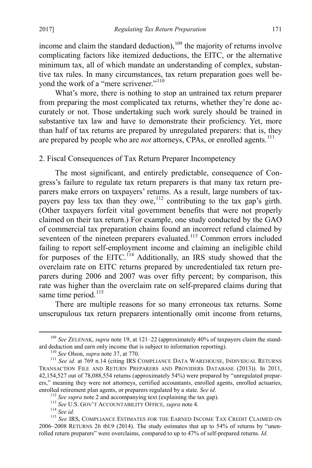income and claim the standard deduction),<sup>[109](#page-21-1)</sup> the majority of returns involve complicating factors like itemized deductions, the EITC, or the alternative minimum tax, all of which mandate an understanding of complex, substantive tax rules. In many circumstances, tax return preparation goes well be-yond the work of a "mere scrivener."<sup>[110](#page-21-2)</sup>

What's more, there is nothing to stop an untrained tax return preparer from preparing the most complicated tax returns, whether they're done accurately or not. Those undertaking such work surely should be trained in substantive tax law and have to demonstrate their proficiency. Yet, more than half of tax returns are prepared by unregulated preparers: that is, they are prepared by people who are *not* attorneys, CPAs, or enrolled agents.<sup>[111](#page-21-3)</sup>

<span id="page-21-0"></span>2. Fiscal Consequences of Tax Return Preparer Incompetency

The most significant, and entirely predictable, consequence of Congress's failure to regulate tax return preparers is that many tax return preparers make errors on taxpayers' returns. As a result, large numbers of tax-payers pay less tax than they owe,<sup>[112](#page-21-4)</sup> contributing to the tax gap's girth. (Other taxpayers forfeit vital government benefits that were not properly claimed on their tax return.) For example, one study conducted by the GAO of commercial tax preparation chains found an incorrect refund claimed by seventeen of the nineteen preparers evaluated.<sup>[113](#page-21-5)</sup> Common errors included failing to report self-employment income and claiming an ineligible child for purposes of the EITC.<sup>[114](#page-21-6)</sup> Additionally, an IRS study showed that the overclaim rate on EITC returns prepared by uncredentialed tax return preparers during 2006 and 2007 was over fifty percent; by comparison, this rate was higher than the overclaim rate on self-prepared claims during that same time period.<sup>[115](#page-21-7)</sup>

<span id="page-21-8"></span>There are multiple reasons for so many erroneous tax returns. Some unscrupulous tax return preparers intentionally omit income from returns,

<span id="page-21-1"></span><sup>&</sup>lt;sup>109</sup> *See ZELENAK, supra* not[e 19,](#page-5-2) at 121–22 (approximately 40% of taxpayers claim the stand-<br>ard deduction and earn only income that is subject to information reporting).

<span id="page-21-3"></span><span id="page-21-2"></span><sup>&</sup>lt;sup>110</sup> See Olson, *supra* note [37,](#page-7-10) at 770.<br><sup>111</sup> See id. at 769 n.14 (citing IRS COMPLIANCE DATA WAREHOUSE, INDIVIDUAL RETURNS TRANSACTION FILE AND RETURN PREPARERS AND PROVIDERS DATABASE (2013)). In 2011, 42,154,527 out of 78,088,554 returns (approximately 54%) were prepared by "unregulated preparers," meaning they were not attorneys, certified accountants, enrolled agents, enrolled actuaries, enrolled retirement plan agents, or preparers regulated by a state. See id.

<span id="page-21-7"></span><span id="page-21-6"></span><span id="page-21-5"></span><span id="page-21-4"></span><sup>&</sup>lt;sup>112</sup> See supr[a](#page-3-6) note 2 and accompanying text (explaining the tax gap).<br><sup>113</sup> See U.S. GOV'T ACCOUNTABILITY OFFICE, *supra* note 4.<br><sup>114</sup> See id.<br><sup>115</sup> See IRS, COMPLIANCE ESTIMATES FOR THE EARNED INCOME TAX CREDIT CLAIMED 2006–2008 RETURNS 26 tbl.9 (2014). The study estimates that up to 54% of returns by "unenrolled return preparers" were overclaims, compared to up to 47% of self-prepared returns. *Id.*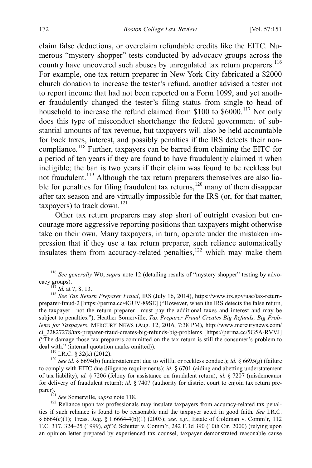claim false deductions, or overclaim refundable credits like the EITC. Numerous "mystery shopper" tests conducted by advocacy groups across the country have uncovered such abuses by unregulated tax return preparers.<sup>[116](#page-22-1)</sup> For example, one tax return preparer in New York City fabricated a \$2000 church donation to increase the tester's refund, another advised a tester not to report income that had not been reported on a Form 1099, and yet another fraudulently changed the tester's filing status from single to head of household to increase the refund claimed from \$100 to \$6000.<sup>[117](#page-22-2)</sup> Not only does this type of misconduct shortchange the federal government of substantial amounts of tax revenue, but taxpayers will also be held accountable for back taxes, interest, and possibly penalties if the IRS detects their noncompliance.[118](#page-22-3) Further, taxpayers can be barred from claiming the EITC for a period of ten years if they are found to have fraudulently claimed it when ineligible; the ban is two years if their claim was found to be reckless but not fraudulent.<sup>[119](#page-22-4)</sup> Although the tax return preparers themselves are also lia-ble for penalties for filing fraudulent tax returns,<sup>[120](#page-22-5)</sup> many of them disappear after tax season and are virtually impossible for the IRS (or, for that matter, taxpayers) to track down.<sup>[121](#page-22-6)</sup>

<span id="page-22-8"></span><span id="page-22-0"></span>Other tax return preparers may stop short of outright evasion but encourage more aggressive reporting positions than taxpayers might otherwise take on their own. Many taxpayers, in turn, operate under the mistaken impression that if they use a tax return preparer, such reliance automatically insulates them from accuracy-related penalties,<sup>[122](#page-22-7)</sup> which may make them

<span id="page-22-5"></span><span id="page-22-4"></span><sup>119</sup> I.R.C. § 32(k) (2012). <sup>119</sup> I.R.C. § 32(k) (2012). <sup>120</sup> *See id.* § 6694(b) (understatement due to willful or reckless conduct); *id.* § 6695(g) (failure to comply with EITC due diligence requirements); *id.* § 6701 (aiding and abetting understatement of tax liability); *id.* § 7206 (felony for assistance on fraudulent return); *id.* § 7207 (misdemeanor for delivery of fraudulent return); *id.* § 7407 (authority for district court to enjoin tax return pre-<br>parer).<br><sup>121</sup> See Somerville, *supra* note 118.

<span id="page-22-7"></span><span id="page-22-6"></span><sup>122</sup> Reliance upon tax professionals may insulate taxpayers from accuracy-related tax penalties if such reliance is found to be reasonable and the taxpayer acted in good faith*. See* I.R.C. § 6664(c)(1); Treas. Reg. § 1.6664-4(b)(1) (2003); *see, e.g.*, Estate of Goldman v. Comm'r, 112 T.C. 317, 324–25 (1999), *aff'd,* Schutter v. Comm'r, 242 F.3d 390 (10th Cir. 2000) (relying upon an opinion letter prepared by experienced tax counsel, taxpayer demonstrated reasonable cause

<span id="page-22-1"></span><sup>&</sup>lt;sup>116</sup> See generally WU, *supra* note [12](#page-4-9) (detailing results of "mystery shopper" testing by advo-cacy groups).

<span id="page-22-9"></span>

<span id="page-22-3"></span><span id="page-22-2"></span><sup>&</sup>lt;sup>117</sup> *Id.* at 7, 8, 13.<br><sup>118</sup> *See Tax Return Preparer Fraud*, IRS (July 16, 2014), https://www.irs.gov/uac/tax-returnpreparer-fraud-2 [https://perma.cc/4GUV-89SE] ("However, when the IRS detects the false return, the taxpayer—not the return preparer—must pay the additional taxes and interest and may be subject to penalties."); Heather Somerville, *Tax Preparer Fraud Creates Big Refunds, Big Problems for Taxpayers*, MERCURY NEWS (Aug. 12, 2016, 7:38 PM), http://www.mercurynews.com/ ci\_22827278/tax-preparer-fraud-creates-big-refunds-big-problems [https://perma.cc/5G5A-RVVJ] ("The damage those tax preparers committed on the tax return is still the consumer's problem to deal with." (internal quotation marks omitted)).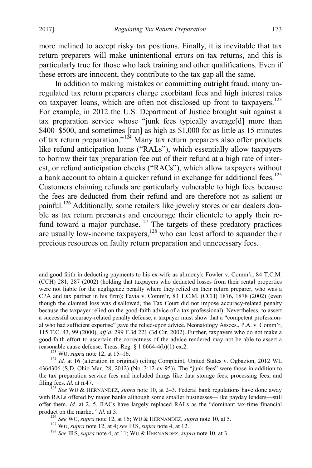<span id="page-23-7"></span> $\overline{a}$ 

more inclined to accept risky tax positions. Finally, it is inevitable that tax return preparers will make unintentional errors on tax returns, and this is particularly true for those who lack training and other qualifications. Even if these errors are innocent, they contribute to the tax gap all the same.

<span id="page-23-6"></span>In addition to making mistakes or committing outright fraud, many unregulated tax return preparers charge exorbitant fees and high interest rates on taxpayer loans, which are often not disclosed up front to taxpayers.<sup>[123](#page-23-0)</sup> For example, in 2012 the U.S. Department of Justice brought suit against a tax preparation service whose "junk fees typically average[d] more than \$400–\$500, and sometimes [ran] as high as \$1,000 for as little as 15 minutes of tax return preparation."<sup>[124](#page-23-1)</sup> Many tax return preparers also offer products like refund anticipation loans ("RALs"), which essentially allow taxpayers to borrow their tax preparation fee out of their refund at a high rate of interest, or refund anticipation checks ("RACs"), which allow taxpayers without a bank account to obtain a quicker refund in exchange for additional fees.<sup>[125](#page-23-2)</sup> Customers claiming refunds are particularly vulnerable to high fees because the fees are deducted from their refund and are therefore not as salient or painful.<sup>[126](#page-23-3)</sup> Additionally, some retailers like jewelry stores or car dealers double as tax return preparers and encourage their clientele to apply their re-fund toward a major purchase.<sup>[127](#page-23-4)</sup> The targets of these predatory practices are usually low-income taxpayers,<sup>[128](#page-23-5)</sup> who can least afford to squander their precious resources on faulty return preparation and unnecessary fees.

and good faith in deducting payments to his ex-wife as alimony); Fowler v. Comm'r, 84 T.C.M. (CCH) 281, 287 (2002) (holding that taxpayers who deducted losses from their rental properties were not liable for the negligence penalty where they relied on their return preparer, who was a CPA and tax partner in his firm); Favia v. Comm'r, 83 T.C.M. (CCH) 1876, 1878 (2002) (even though the claimed loss was disallowed, the Tax Court did not impose accuracy-related penalty because the taxpayer relied on the good-faith advice of a tax professional). Nevertheless, to assert a successful accuracy-related penalty defense, a taxpayer must show that a "competent professional who had sufficient expertise" gave the relied-upon advice. Neonatology Assocs., P.A. v. Comm'r, 115 T.C. 43, 99 (2000), *aff'd*, 299 F.3d 221 (3d Cir. 2002). Further, taxpayers who do not make a good-faith effort to ascertain the correctness of the advice rendered may not be able to assert a

<span id="page-23-1"></span><span id="page-23-0"></span>reasonable cause defense. Treas. Reg. § 1.6664-4(b)(1) ex.2.<br><sup>123</sup> WU, *supra* note [12,](#page-4-9) at 15–16.<br><sup>124</sup> *Id.* at 16 (alteration in original) (citing Complaint, United States v. Ogbazion, 2012 WL 4364306 (S.D. Ohio Mar. 28, 2012) (No. 3:12-cv-95)). The "junk fees" were those in addition to the tax preparation service fees and included things like data storage fees, processing fees, and filing fees. *Id.* at n.47. <sup>125</sup> *See* WU & HERNANDEZ, *supra* note [10,](#page-4-10) at 2–3. Federal bank regulations have done away

<span id="page-23-3"></span><span id="page-23-2"></span>with RALs offered by major banks although some smaller businesses—like payday lenders—still offer them. *Id.* at 2, 5. RACs have largely replaced RALs as the "dominant tax-time financial product on the market." *Id.* at 3.<br>
<sup>126</sup> See WU, supra not[e 12,](#page-4-9) at 16; WU & HERNANDEZ, supra not[e 10,](#page-4-10) at 5.<br>
<sup>127</sup> WU, supra note [12,](#page-4-9) at 4; see IRS, supra not[e 4,](#page-3-0) at 12.<br>
<sup>128</sup> See IRS, supra note [4,](#page-3-0) at 11; WU & HERNAND

<span id="page-23-4"></span>

<span id="page-23-5"></span>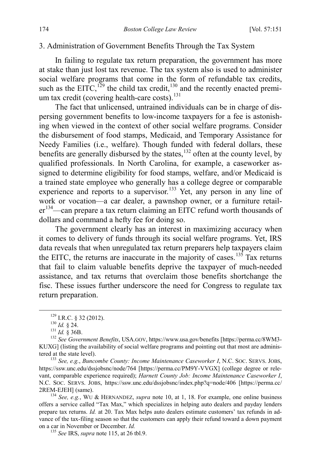#### <span id="page-24-0"></span>3. Administration of Government Benefits Through the Tax System

In failing to regulate tax return preparation, the government has more at stake than just lost tax revenue. The tax system also is used to administer social welfare programs that come in the form of refundable tax credits, such as the EITC,<sup>[129](#page-24-1)</sup> the child tax credit,<sup>[130](#page-24-2)</sup> and the recently enacted premium tax credit (covering health-care costs). $131$ 

The fact that unlicensed, untrained individuals can be in charge of dispersing government benefits to low-income taxpayers for a fee is astonishing when viewed in the context of other social welfare programs. Consider the disbursement of food stamps, Medicaid, and Temporary Assistance for Needy Families (i.e., welfare). Though funded with federal dollars, these benefits are generally disbursed by the states,<sup>[132](#page-24-4)</sup> often at the county level, by qualified professionals. In North Carolina, for example, a caseworker assigned to determine eligibility for food stamps, welfare, and/or Medicaid is a trained state employee who generally has a college degree or comparable experience and reports to a supervisor.<sup>[133](#page-24-5)</sup> Yet, any person in any line of work or vocation—a car dealer, a pawnshop owner, or a furniture retail-er<sup>[134](#page-24-6)</sup>—can prepare a tax return claiming an EITC refund worth thousands of dollars and command a hefty fee for doing so.

The government clearly has an interest in maximizing accuracy when it comes to delivery of funds through its social welfare programs. Yet, IRS data reveals that when unregulated tax return preparers help taxpayers claim the EITC, the returns are inaccurate in the majority of cases.<sup>[135](#page-24-7)</sup> Tax returns that fail to claim valuable benefits deprive the taxpayer of much-needed assistance, and tax returns that overclaim those benefits shortchange the fisc. These issues further underscore the need for Congress to regulate tax return preparation.

<span id="page-24-5"></span>https://ssw.unc.edu/dssjobsnc/node/764 [https://perma.cc/PM9Y-VVGX] (college degree or relevant, comparable experience required); *Harnett County Job: Income Maintenance Caseworker I*, N.C. SOC. SERVS. JOBS, https://ssw.unc.edu/dssjobsnc/index.php?q=node/406 [https://perma.cc/

<span id="page-24-7"></span><span id="page-24-6"></span><sup>134</sup> *See, e.g.*, WU & HERNANDEZ, *supra* note [10,](#page-4-10) at 1, 18. For example, one online business offers a service called "Tax Max," which specializes in helping auto dealers and payday lenders prepare tax returns. *Id.* at 20. Tax Max helps auto dealers estimate customers' tax refunds in advance of the tax-filing season so that the customers can apply their refund toward a down payment on a car in November or December. *Id.* <sup>135</sup> *See* IRS, *supra* note [115,](#page-21-8) at 26 tbl.9.

<span id="page-24-4"></span><span id="page-24-3"></span><span id="page-24-2"></span><span id="page-24-1"></span><sup>&</sup>lt;sup>129</sup> I.R.C. § 32 (2012).<br><sup>130</sup> *Id.* § 24.<br><sup>131</sup> *Id.* § 36B.<br><sup>132</sup> *See Government Benefits*, USA.GOV, https://www.usa.gov/benefits [https://perma.cc/8WM3-KUXG] (listing the availability of social welfare programs and pointing out that most are administered at the state level). <sup>133</sup> *See, e.g.*, *Buncombe County: Income Maintenance Caseworker I*, N.C. SOC. SERVS. JOBS,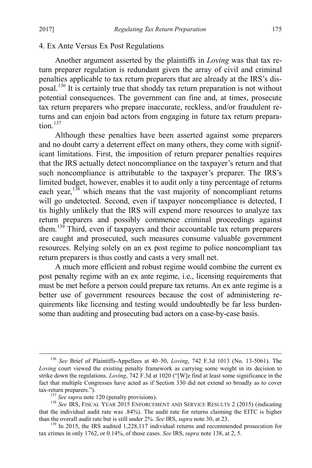#### <span id="page-25-0"></span>4. Ex Ante Versus Ex Post Regulations

Another argument asserted by the plaintiffs in *Loving* was that tax return preparer regulation is redundant given the array of civil and criminal penalties applicable to tax return preparers that are already at the IRS's disposal.[136](#page-25-2) It is certainly true that shoddy tax return preparation is not without potential consequences. The government can fine and, at times, prosecute tax return preparers who prepare inaccurate, reckless, and/or fraudulent returns and can enjoin bad actors from engaging in future tax return preparation $137$ 

<span id="page-25-1"></span>Although these penalties have been asserted against some preparers and no doubt carry a deterrent effect on many others, they come with significant limitations. First, the imposition of return preparer penalties requires that the IRS actually detect noncompliance on the taxpayer's return and that such noncompliance is attributable to the taxpayer's preparer. The IRS's limited budget, however, enables it to audit only a tiny percentage of returns each vear,  $138$  which means that the vast majority of noncompliant returns will go undetected. Second, even if taxpayer noncompliance is detected, I tis highly unlikely that the IRS will expend more resources to analyze tax return preparers and possibly commence criminal proceedings against them.<sup>[139](#page-25-5)</sup> Third, even if taxpayers and their accountable tax return preparers are caught and prosecuted, such measures consume valuable government resources. Relying solely on an ex post regime to police noncompliant tax return preparers is thus costly and casts a very small net.

A much more efficient and robust regime would combine the current ex post penalty regime with an ex ante regime, i.e., licensing requirements that must be met before a person could prepare tax returns. An ex ante regime is a better use of government resources because the cost of administering requirements like licensing and testing would undoubtedly be far less burdensome than auditing and prosecuting bad actors on a case-by-case basis.

<span id="page-25-2"></span> <sup>136</sup> *See* Brief of Plaintiffs-Appellees at 40–50, *Loving*, 742 F.3d 1013 (No. 13-5061). The *Loving* court viewed the existing penalty framework as carrying some weight in its decision to strike down the regulations. *Loving*, 742 F.3d at 1020 ("[W]e find at least some significance in the fact that multiple Congresses have acted as if Section 330 did not extend so broadly as to cover tax-return preparers.").

<span id="page-25-4"></span><span id="page-25-3"></span><sup>&</sup>lt;sup>137</sup> *See supra* not[e 120](#page-22-8) (penalty provisions). <sup>138</sup> *See IRS*, FISCAL YEAR 2015 ENFORCEMENT AND SERVICE RESULTS 2 (2015) (indicating that the individual audit rate was .84%). The audit rate for returns claiming the EITC is higher than the overall audit rate but is still under  $2\%$ . See IRS, supra note 30, at 23.

<span id="page-25-5"></span><sup>&</sup>lt;sup>139</sup> In 2015, the IRS audited 1,228,117 individual returns and recommended prosecution for tax crimes in only 1762, or 0.14%, of those cases. *See* IRS, *supra* not[e 138,](#page-25-1) at 2, 5.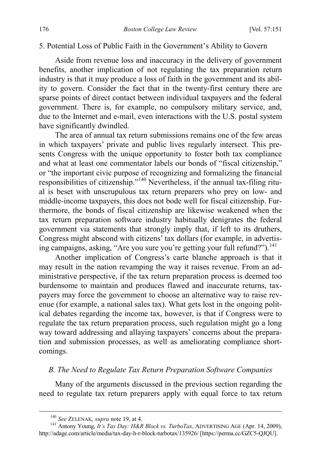#### <span id="page-26-0"></span>5. Potential Loss of Public Faith in the Government's Ability to Govern

Aside from revenue loss and inaccuracy in the delivery of government benefits, another implication of not regulating the tax preparation return industry is that it may produce a loss of faith in the government and its ability to govern. Consider the fact that in the twenty-first century there are sparse points of direct contact between individual taxpayers and the federal government. There is, for example, no compulsory military service, and, due to the Internet and e-mail, even interactions with the U.S. postal system have significantly dwindled.

The area of annual tax return submissions remains one of the few areas in which taxpayers' private and public lives regularly intersect. This presents Congress with the unique opportunity to foster both tax compliance and what at least one commentator labels our bonds of "fiscal citizenship," or "the important civic purpose of recognizing and formalizing the financial responsibilities of citizenship."[140](#page-26-3) Nevertheless, if the annual tax-filing ritual is beset with unscrupulous tax return preparers who prey on low- and middle-income taxpayers, this does not bode well for fiscal citizenship. Furthermore, the bonds of fiscal citizenship are likewise weakened when the tax return preparation software industry habitually denigrates the federal government via statements that strongly imply that, if left to its druthers, Congress might abscond with citizens' tax dollars (for example, in advertising campaigns, asking, "Are you sure you're getting your full refund?").<sup>141</sup>

<span id="page-26-2"></span>Another implication of Congress's carte blanche approach is that it may result in the nation revamping the way it raises revenue. From an administrative perspective, if the tax return preparation process is deemed too burdensome to maintain and produces flawed and inaccurate returns, taxpayers may force the government to choose an alternative way to raise revenue (for example, a national sales tax). What gets lost in the ongoing political debates regarding the income tax, however, is that if Congress were to regulate the tax return preparation process, such regulation might go a long way toward addressing and allaying taxpayers' concerns about the preparation and submission processes, as well as ameliorating compliance shortcomings.

# <span id="page-26-1"></span>*B. The Need to Regulate Tax Return Preparation Software Companies*

Many of the arguments discussed in the previous section regarding the need to regulate tax return preparers apply with equal force to tax return

<span id="page-26-4"></span><span id="page-26-3"></span><sup>&</sup>lt;sup>140</sup> *See ZELENAK, supra* note [19,](#page-5-2) at 4.<br><sup>141</sup> Antony Young, *It's Tax Day: H&R Block vs. TurboTax*, ADVERTISING AGE (Apr. 14, 2009), http://adage.com/article/media/tax-day-h-r-block-turbotax/135926/ [https://perma.cc/GZC5-QJQU].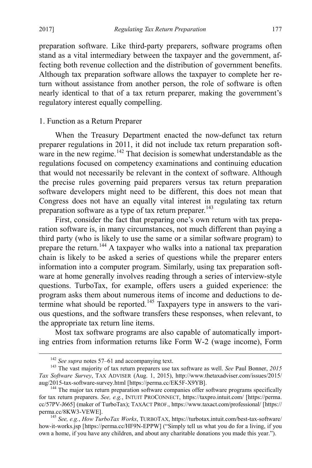preparation software. Like third-party preparers, software programs often stand as a vital intermediary between the taxpayer and the government, affecting both revenue collection and the distribution of government benefits. Although tax preparation software allows the taxpayer to complete her return without assistance from another person, the role of software is often nearly identical to that of a tax return preparer, making the government's regulatory interest equally compelling.

# <span id="page-27-0"></span>1. Function as a Return Preparer

<span id="page-27-1"></span>When the Treasury Department enacted the now-defunct tax return preparer regulations in 2011, it did not include tax return preparation soft-ware in the new regime.<sup>[142](#page-27-2)</sup> That decision is somewhat understandable as the regulations focused on competency examinations and continuing education that would not necessarily be relevant in the context of software. Although the precise rules governing paid preparers versus tax return preparation software developers might need to be different, this does not mean that Congress does not have an equally vital interest in regulating tax return preparation software as a type of tax return preparer.<sup>[143](#page-27-3)</sup>

First, consider the fact that preparing one's own return with tax preparation software is, in many circumstances, not much different than paying a third party (who is likely to use the same or a similar software program) to prepare the return.[144](#page-27-4) A taxpayer who walks into a national tax preparation chain is likely to be asked a series of questions while the preparer enters information into a computer program. Similarly, using tax preparation software at home generally involves reading through a series of interview-style questions. TurboTax, for example, offers users a guided experience: the program asks them about numerous items of income and deductions to de-termine what should be reported.<sup>[145](#page-27-5)</sup> Taxpayers type in answers to the various questions, and the software transfers these responses, when relevant, to the appropriate tax return line items.

Most tax software programs are also capable of automatically importing entries from information returns like Form W-2 (wage income), Form

<span id="page-27-3"></span><span id="page-27-2"></span><sup>&</sup>lt;sup>142</sup> *See supra* note[s 57](#page-11-0)[–61](#page-11-9) and accompanying text.<br><sup>143</sup> The vast majority of tax return preparers use tax software as well. *See* Paul Bonner, 2015 *Tax Software Survey*, TAX ADVISER (Aug. 1, 2015), http://www.thetaxadviser.com/issues/2015/ aug/2015-tax-software-survey.html [https://perma.cc/EK5F-X9YB].<br><sup>144</sup> The major tax return preparation software companies offer software programs specifically

<span id="page-27-4"></span>for tax return preparers. *See, e.g.*, INTUIT PROCONNECT, https://taxpro.intuit.com/ [https://perma. cc/57PV-J665] (maker of TurboTax); TAXACT PROF., https://www.taxact.com/professional/ [https://

<span id="page-27-5"></span><sup>&</sup>lt;sup>145</sup> See, e.g., *How TurboTax Works*, TURBOTAX, https://turbotax.intuit.com/best-tax-software/ how-it-works.jsp [https://perma.cc/HF9N-EPPW] ("Simply tell us what you do for a living, if you own a home, if you have any children, and about any charitable donations you made this year.").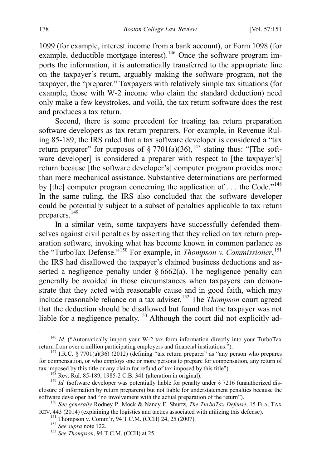1099 (for example, interest income from a bank account), or Form 1098 (for example, deductible mortgage interest).<sup>[146](#page-28-0)</sup> Once the software program imports the information, it is automatically transferred to the appropriate line on the taxpayer's return, arguably making the software program, not the taxpayer, the "preparer." Taxpayers with relatively simple tax situations (for example, those with W-2 income who claim the standard deduction) need only make a few keystrokes, and voilà, the tax return software does the rest and produces a tax return.

Second, there is some precedent for treating tax return preparation software developers as tax return preparers. For example, in Revenue Ruling 85-189, the IRS ruled that a tax software developer is considered a "tax return preparer" for purposes of  $\S 7701(a)(36)$ , <sup>[147](#page-28-1)</sup> stating thus: "[The software developer] is considered a preparer with respect to [the taxpayer's] return because [the software developer's] computer program provides more than mere mechanical assistance. Substantive determinations are performed by [the] computer program concerning the application of ... the Code."<sup>[148](#page-28-2)</sup> In the same ruling, the IRS also concluded that the software developer could be potentially subject to a subset of penalties applicable to tax return preparers.<sup>[149](#page-28-3)</sup>

<span id="page-28-8"></span>In a similar vein, some taxpayers have successfully defended themselves against civil penalties by asserting that they relied on tax return preparation software, invoking what has become known in common parlance as the "TurboTax Defense."<sup>[150](#page-28-4)</sup> For example, in *Thompson v. Commissioner*,<sup>[151](#page-28-5)</sup> the IRS had disallowed the taxpayer's claimed business deductions and asserted a negligence penalty under  $\S 6662(a)$ . The negligence penalty can generally be avoided in those circumstances when taxpayers can demonstrate that they acted with reasonable cause and in good faith, which may include reasonable reliance on a tax adviser.[152](#page-28-6) The *Thompson* court agreed that the deduction should be disallowed but found that the taxpayer was not liable for a negligence penalty.<sup>[153](#page-28-7)</sup> Although the court did not explicitly ad-

<span id="page-28-0"></span><sup>&</sup>lt;sup>146</sup> *Id.* ("Automatically import your W-2 tax form information directly into your TurboTax return from over a million participating employers and financial institutions.").

<span id="page-28-1"></span><sup>&</sup>lt;sup>147</sup> I.R.C. § 7701(a)(36) (2012) (defining "tax return preparer" as "any person who prepares" for compensation, or who employs one or more persons to prepare for compensation, any return of tax imposed by this title or any claim for refund of tax imposed by this title").

<span id="page-28-3"></span><span id="page-28-2"></span><sup>&</sup>lt;sup>148</sup> Rev. Rul. 85-189, 1985-2 C.B. 341 (alteration in original).<br><sup>149</sup> *Id.* (software developer was potentially liable for penalty under § 7216 (unauthorized disclosure of information by return preparers) but not liable for understatement penalties because the software developer had "no involvement with the actual preparation of the return").

<span id="page-28-7"></span><span id="page-28-6"></span><span id="page-28-5"></span><span id="page-28-4"></span><sup>&</sup>lt;sup>150</sup> See generally Rodney P. Mock & Nancy E. Shurtz, *The TurboTax Defense*, 15 FLA. TAX REV. 443 (2014) (explaining the logistics and tactics associated with utilizing this defense).<br><sup>151</sup> Thompson v. Comm'r, 94 T.C.M. (CCH) 24, 25 (2007).<br><sup>152</sup> See supra not[e 122.](#page-22-9)<br><sup>153</sup> See Thompson, 94 T.C.M. (CCH) at 25.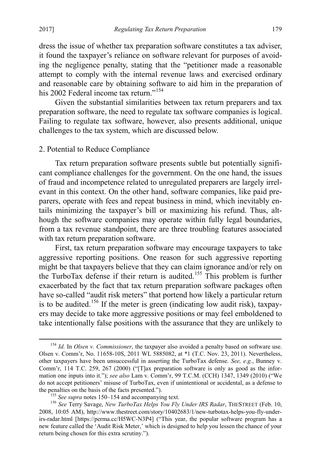dress the issue of whether tax preparation software constitutes a tax adviser, it found the taxpayer's reliance on software relevant for purposes of avoiding the negligence penalty, stating that the "petitioner made a reasonable attempt to comply with the internal revenue laws and exercised ordinary and reasonable care by obtaining software to aid him in the preparation of his 2002 Federal income tax return."<sup>[154](#page-29-2)</sup>

<span id="page-29-1"></span>Given the substantial similarities between tax return preparers and tax preparation software, the need to regulate tax software companies is logical. Failing to regulate tax software, however, also presents additional, unique challenges to the tax system, which are discussed below.

# <span id="page-29-0"></span>2. Potential to Reduce Compliance

Tax return preparation software presents subtle but potentially significant compliance challenges for the government. On the one hand, the issues of fraud and incompetence related to unregulated preparers are largely irrelevant in this context. On the other hand, software companies, like paid preparers, operate with fees and repeat business in mind, which inevitably entails minimizing the taxpayer's bill or maximizing his refund. Thus, although the software companies may operate within fully legal boundaries, from a tax revenue standpoint, there are three troubling features associated with tax return preparation software.

First, tax return preparation software may encourage taxpayers to take aggressive reporting positions. One reason for such aggressive reporting might be that taxpayers believe that they can claim ignorance and/or rely on the TurboTax defense if their return is audited.<sup>[155](#page-29-3)</sup> This problem is further exacerbated by the fact that tax return preparation software packages often have so-called "audit risk meters" that portend how likely a particular return is to be audited.<sup>[156](#page-29-4)</sup> If the meter is green (indicating low audit risk), taxpayers may decide to take more aggressive positions or may feel emboldened to take intentionally false positions with the assurance that they are unlikely to

<span id="page-29-2"></span> <sup>154</sup> *Id.* In *Olsen v. Commissioner*, the taxpayer also avoided a penalty based on software use. Olsen v. Comm'r, No. 11658-10S, 2011 WL 5885082, at \*1 (T.C. Nov. 23, 2011). Nevertheless, other taxpayers have been unsuccessful in asserting the TurboTax defense. *See, e.g.*, Bunney v. Comm'r, 114 T.C. 259, 267 (2000) ("[T]ax preparation software is only as good as the information one inputs into it."); *see also* Lam v. Comm'r, 99 T.C.M. (CCH) 1347, 1349 (2010) ("We do not accept petitioners' misuse of TurboTax, even if unintentional or accidental, as a defense to

<span id="page-29-4"></span><span id="page-29-3"></span><sup>&</sup>lt;sup>155</sup> *See supra* note[s 150](#page-28-8)[–154](#page-29-1) and accompanying text. <sup>156</sup> *See Terry Savage, New TurboTax Helps You Fly Under IRS Radar*, THESTREET (Feb. 10, 2008, 10:05 AM), http://www.thestreet.com/story/10402683/1/new-turbotax-helps-you-fly-underirs-radar.html [https://perma.cc/H5WC-N3P4] ("This year, the popular software program has a new feature called the 'Audit Risk Meter,' which is designed to help you lessen the chance of your return being chosen for this extra scrutiny.").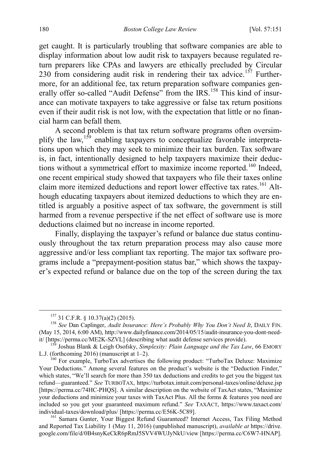get caught. It is particularly troubling that software companies are able to display information about low audit risk to taxpayers because regulated return preparers like CPAs and lawyers are ethically precluded by Circular 230 from considering audit risk in rendering their tax advice.<sup>157</sup> Furthermore, for an additional fee, tax return preparation software companies gen-erally offer so-called "Audit Defense" from the IRS.<sup>[158](#page-30-1)</sup> This kind of insurance can motivate taxpayers to take aggressive or false tax return positions even if their audit risk is not low, with the expectation that little or no financial harm can befall them.

A second problem is that tax return software programs often oversim-plify the law,<sup>[159](#page-30-2)</sup> enabling taxpayers to conceptualize favorable interpretations upon which they may seek to minimize their tax burden. Tax software is, in fact, intentionally designed to help taxpayers maximize their deduc-tions without a symmetrical effort to maximize income reported.<sup>[160](#page-30-3)</sup> Indeed, one recent empirical study showed that taxpayers who file their taxes online claim more itemized deductions and report lower effective tax rates.<sup>[161](#page-30-4)</sup> Although educating taxpayers about itemized deductions to which they are entitled is arguably a positive aspect of tax software, the government is still harmed from a revenue perspective if the net effect of software use is more deductions claimed but no increase in income reported.

Finally, displaying the taxpayer's refund or balance due status continuously throughout the tax return preparation process may also cause more aggressive and/or less compliant tax reporting. The major tax software programs include a "prepayment-position status bar," which shows the taxpayer's expected refund or balance due on the top of the screen during the tax

<span id="page-30-1"></span><span id="page-30-0"></span><sup>157</sup> 31 C.F.R. § 10.37(a)(2) (2015). 158 *See* Dan Caplinger, *Audit Insurance: Here's Probably Why You Don't Need It*, DAILY FIN. (May 15, 2014, 6:00 AM), http://www.dailyfinance.com/2014/05/15/audit-insurance-you-dont-need-<br>it/ [https://perma.cc/ME2K-SZVL] (describing what audit defense services provide).

<span id="page-30-2"></span><sup>&</sup>lt;sup>159</sup> Joshua Blank & Leigh Osofsky, *Simplexity: Plain Language and the Tax Law*, 66 EMORY L.J. (forthcoming 2016) (manuscript at 1–2).<br><sup>160</sup> For example, TurboTax advertises the following product: "TurboTax Deluxe: Maximize

<span id="page-30-3"></span>Your Deductions." Among several features on the product's website is the "Deduction Finder," which states, "We'll search for more than 350 tax deductions and credits to get you the biggest tax refund—guaranteed." *See* TURBOTAX, https://turbotax.intuit.com/personal-taxes/online/deluxe.jsp [https://perma.cc/74HC-PHQS]. A similar description on the website of TaxAct states, "Maximize your deductions and minimize your taxes with TaxAct Plus. All the forms & features you need are included so you get your guaranteed maximum refund." *See* TAXACT, https://www.taxact.com/

<span id="page-30-4"></span><sup>&</sup>lt;sup>161</sup> Samara Gunter, Your Biggest Refund Guaranteed? Internet Access, Tax Filing Method and Reported Tax Liability 1 (May 11, 2016) (unpublished manuscript), *available at* https://drive. google.com/file/d/0B4snyKeCkR6pRmJ5SVV4WUJyNkU/view [https://perma.cc/C6W7-HNAP].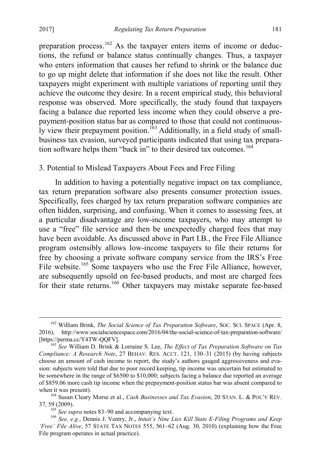<span id="page-31-6"></span>preparation process.<sup>[162](#page-31-1)</sup> As the taxpayer enters items of income or deductions, the refund or balance status continually changes. Thus, a taxpayer who enters information that causes her refund to shrink or the balance due to go up might delete that information if she does not like the result. Other taxpayers might experiment with multiple variations of reporting until they achieve the outcome they desire. In a recent empirical study, this behavioral response was observed. More specifically, the study found that taxpayers facing a balance due reported less income when they could observe a prepayment-position status bar as compared to those that could not continuous-ly view their prepayment position.<sup>[163](#page-31-2)</sup> Additionally, in a field study of smallbusiness tax evasion, surveyed participants indicated that using tax prepara-tion software helps them "back in" to their desired tax outcomes.<sup>[164](#page-31-3)</sup>

#### <span id="page-31-8"></span><span id="page-31-7"></span><span id="page-31-0"></span>3. Potential to Mislead Taxpayers About Fees and Free Filing

In addition to having a potentially negative impact on tax compliance, tax return preparation software also presents consumer protection issues. Specifically, fees charged by tax return preparation software companies are often hidden, surprising, and confusing. When it comes to assessing fees, at a particular disadvantage are low-income taxpayers, who may attempt to use a "free" file service and then be unexpectedly charged fees that may have been avoidable. As discussed above in Part I.B., the Free File Alliance program ostensibly allows low-income taxpayers to file their returns for free by choosing a private software company service from the IRS's Free File website.<sup>165</sup> Some taxpayers who use the Free File Alliance, however, are subsequently upsold on fee-based products, and most are charged fees for their state returns.<sup>[166](#page-31-5)</sup> Other taxpayers may mistake separate fee-based

<span id="page-31-1"></span><sup>&</sup>lt;sup>162</sup> William Brink, *The Social Science of Tax Preparation Software*, Soc. ScI. SPACE (Apr. 8, 2016), http://www.socialsciencespace.com/2016/04/the-social-science-of-tax-preparation-software/ [https://perma.cc/Y4TW-QQFV]. <sup>163</sup> *See* William D. Brink & Lorraine S. Lee, *The Effect of Tax Preparation Software on Tax* 

<span id="page-31-2"></span>*Compliance: A Research Note*, 27 BEHAV. RES. ACCT. 121, 130–31 (2015) (by having subjects choose an amount of cash income to report, the study's authors gauged aggressiveness and evasion: subjects were told that due to poor record keeping, tip income was uncertain but estimated to be somewhere in the range of \$6500 to \$10,000; subjects facing a balance due reported an average of \$859.06 more cash tip income when the prepayment-position status bar was absent compared to when it was present).<br><sup>164</sup> Susan Cleary Morse et al., *Cash Businesses and Tax Evasion*, 20 STAN. L. & POL'Y REV.

<span id="page-31-3"></span><sup>37, 59 (2009).</sup> <sup>165</sup> *See supra* note[s 83](#page-15-6)[–90](#page-16-7) and accompanying text. <sup>166</sup> *See, e.g.*, Dennis J. Ventry, Jr., *Intuit's Nine Lies Kill State E-Filing Programs and Keep* 

<span id="page-31-5"></span><span id="page-31-4"></span>*<sup>&#</sup>x27;Free' File Alive*, 57 STATE TAX NOTES 555, 561–62 (Aug. 30, 2010) (explaining how the Free File program operates in actual practice).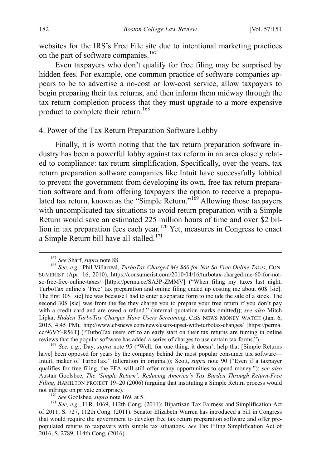websites for the IRS's Free File site due to intentional marketing practices on the part of software companies.<sup>[167](#page-32-2)</sup>

Even taxpayers who don't qualify for free filing may be surprised by hidden fees. For example, one common practice of software companies appears to be to advertise a no-cost or low-cost service, allow taxpayers to begin preparing their tax returns, and then inform them midway through the tax return completion process that they must upgrade to a more expensive product to complete their return.<sup>[168](#page-32-3)</sup>

#### <span id="page-32-0"></span>4. Power of the Tax Return Preparation Software Lobby

Finally, it is worth noting that the tax return preparation software industry has been a powerful lobby against tax reform in an area closely related to compliance: tax return simplification. Specifically, over the years, tax return preparation software companies like Intuit have successfully lobbied to prevent the government from developing its own, free tax return preparation software and from offering taxpayers the option to receive a prepopu-lated tax return, known as the "Simple Return."<sup>[169](#page-32-4)</sup> Allowing those taxpayers with uncomplicated tax situations to avoid return preparation with a Simple Return would save an estimated 225 million hours of time and over \$2 bil-lion in tax preparation fees each year.<sup>[170](#page-32-5)</sup> Yet, measures in Congress to enact a Simple Return bill have all stalled.<sup>[171](#page-32-6)</sup>

<span id="page-32-4"></span>have] been opposed for years by the company behind the most popular consumer tax software— Intuit, maker of TurboTax." (alteration in original)); Scott, *supra* note [90](#page-16-7) ("Even if a taxpayer qualifies for free filing, the FFA will still offer many opportunities to spend money."); *see also*  Austan Goolsbee, *The 'Simple Return': Reducing America's Tax Burden Through Return-Free Filing*, HAMILTON PROJECT 19–20 (2006) (arguing that instituting a Simple Return process would

<span id="page-32-1"></span>

<span id="page-32-3"></span><span id="page-32-2"></span><sup>&</sup>lt;sup>167</sup> *See* Sharf, *supra* note 88.<br><sup>168</sup> *See, e.g.*, Phil Villarreal, *TurboTax Charged Me \$60 for Not-So-Free Online Taxes*, CON-SUMERIST (Apr. 16, 2010), https://consumerist.com/2010/04/16/turbotax-charged-me-60-for-notso-free-free-online-taxes/ [https://perma.cc/SA3P-ZMMV] ("When filing my taxes last night, TurboTax online's 'Free' tax preparation and online filing ended up costing me about 60\$ [sic]. The first 30\$ [sic] fee was because I had to enter a separate form to include the sale of a stock. The second 30\$ [sic] was from the fee they charge you to prepare your free return if you don't pay with a credit card and are owed a refund." (internal quotation marks omitted)); *see also* Mitch Lipka, *Hidden TurboTax Charges Have Users Screaming*, CBS NEWS MONEY WATCH (Jan. 6, 2015, 4:45 PM), http://www.cbsnews.com/news/users-upset-with-turbotax-changes/ [https://perma. cc/96VY-R56T] ("TurboTax users off to an early start on their tax returns are fuming in online reviews that the popular software has added a series of charges to use certain tax forms."). <sup>169</sup> *See, e.g.*, Day, *supra* note [95](#page-17-3) ("Well, for one thing, it doesn't help that [Simple Returns

<span id="page-32-6"></span><span id="page-32-5"></span>not infringe on private enterprise).<br><sup>170</sup> *See* Goolsbee, *supra* not[e 169,](#page-32-1) at 5.<br><sup>171</sup> *See, e.g.*, H.R. 1069, 112th Cong. (2011); Bipartisan Tax Fairness and Simplification Act of 2011, S. 727, 112th Cong. (2011). Senator Elizabeth Warren has introduced a bill in Congress that would require the government to develop free tax return preparation software and offer prepopulated returns to taxpayers with simple tax situations. *See* Tax Filing Simplification Act of 2016, S. 2789, 114th Cong. (2016).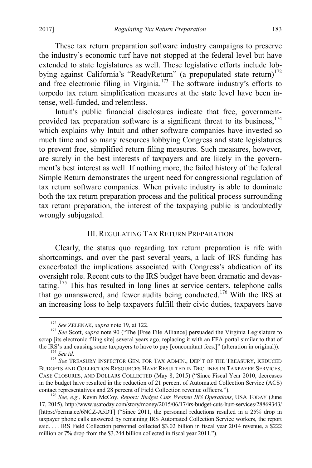These tax return preparation software industry campaigns to preserve the industry's economic turf have not stopped at the federal level but have extended to state legislatures as well. These legislative efforts include lobbying against California's "ReadyReturn" (a prepopulated state return) $172$ and free electronic filing in Virginia.[173](#page-33-4) The software industry's efforts to torpedo tax return simplification measures at the state level have been intense, well-funded, and relentless.

Intuit's public financial disclosures indicate that free, government-provided tax preparation software is a significant threat to its business, <sup>[174](#page-33-5)</sup> which explains why Intuit and other software companies have invested so much time and so many resources lobbying Congress and state legislatures to prevent free, simplified return filing measures. Such measures, however, are surely in the best interests of taxpayers and are likely in the government's best interest as well. If nothing more, the failed history of the federal Simple Return demonstrates the urgent need for congressional regulation of tax return software companies. When private industry is able to dominate both the tax return preparation process and the political process surrounding tax return preparation, the interest of the taxpaying public is undoubtedly wrongly subjugated.

#### <span id="page-33-1"></span>III. REGULATING TAX RETURN PREPARATION

<span id="page-33-2"></span><span id="page-33-0"></span>Clearly, the status quo regarding tax return preparation is rife with shortcomings, and over the past several years, a lack of IRS funding has exacerbated the implications associated with Congress's abdication of its oversight role. Recent cuts to the IRS budget have been dramatic and devas-tating.<sup>[175](#page-33-6)</sup> This has resulted in long lines at service centers, telephone calls that go unanswered, and fewer audits being conducted.[176](#page-33-7) With the IRS at an increasing loss to help taxpayers fulfill their civic duties, taxpayers have

<span id="page-33-4"></span><span id="page-33-3"></span><sup>&</sup>lt;sup>172</sup> *See ZELENAK, supra* note [19,](#page-5-2) at 122.<br><sup>173</sup> *See Scott, supra* note [90](#page-16-7) ("The [Free File Alliance] persuaded the Virginia Legislature to scrap [its electronic filing site] several years ago, replacing it with an FFA portal similar to that of the IRS's and causing some taxpayers to have to pay [concomitant fees.]" (alteration in original)).<br><sup>174</sup> *See id.* <sup>175</sup> *See* TREASURY INSPECTOR GEN. FOR TAX ADMIN., DEP'T OF THE TREASURY, REDUCED

<span id="page-33-6"></span><span id="page-33-5"></span>BUDGETS AND COLLECTION RESOURCES HAVE RESULTED IN DECLINES IN TAXPAYER SERVICES, CASE CLOSURES, AND DOLLARS COLLECTED (May 8, 2015) ("Since Fiscal Year 2010, decreases in the budget have resulted in the reduction of 21 percent of Automated Collection Service (ACS) contact representatives and 28 percent of Field Collection revenue officers.").

<span id="page-33-7"></span><sup>&</sup>lt;sup>176</sup> See, e.g., Kevin McCoy, *Report: Budget Cuts Weaken IRS Operations*, USA TODAY (June 17, 2015), http://www.usatoday.com/story/money/2015/06/17/irs-budget-cuts-hurt-services/28869343/ [https://perma.cc/6NCZ-A5DT] ("Since 2011, the personnel reductions resulted in a 25% drop in taxpayer phone calls answered by remaining IRS Automated Collection Service workers, the report said. . . . IRS Field Collection personnel collected \$3.02 billion in fiscal year 2014 revenue, a \$222 million or 7% drop from the \$3.244 billion collected in fiscal year 2011.").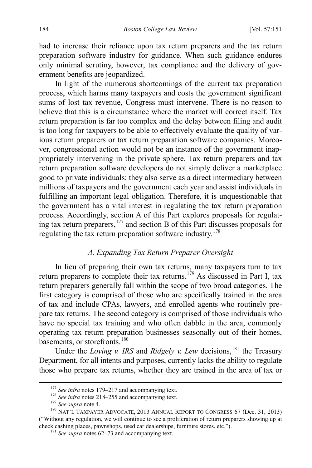had to increase their reliance upon tax return preparers and the tax return preparation software industry for guidance. When such guidance endures only minimal scrutiny, however, tax compliance and the delivery of government benefits are jeopardized.

In light of the numerous shortcomings of the current tax preparation process, which harms many taxpayers and costs the government significant sums of lost tax revenue, Congress must intervene. There is no reason to believe that this is a circumstance where the market will correct itself. Tax return preparation is far too complex and the delay between filing and audit is too long for taxpayers to be able to effectively evaluate the quality of various return preparers or tax return preparation software companies. Moreover, congressional action would not be an instance of the government inappropriately intervening in the private sphere. Tax return preparers and tax return preparation software developers do not simply deliver a marketplace good to private individuals; they also serve as a direct intermediary between millions of taxpayers and the government each year and assist individuals in fulfilling an important legal obligation. Therefore, it is unquestionable that the government has a vital interest in regulating the tax return preparation process. Accordingly, section A of this Part explores proposals for regulating tax return preparers, [177](#page-34-2) and section B of this Part discusses proposals for regulating the tax return preparation software industry.[178](#page-34-3)

#### <span id="page-34-1"></span>*A. Expanding Tax Return Preparer Oversight*

<span id="page-34-0"></span>In lieu of preparing their own tax returns, many taxpayers turn to tax return preparers to complete their tax returns.<sup>[179](#page-34-4)</sup> As discussed in Part I, tax return preparers generally fall within the scope of two broad categories. The first category is comprised of those who are specifically trained in the area of tax and include CPAs, lawyers, and enrolled agents who routinely prepare tax returns. The second category is comprised of those individuals who have no special tax training and who often dabble in the area, commonly operating tax return preparation businesses seasonally out of their homes, basements, or storefronts.<sup>[180](#page-34-5)</sup>

<span id="page-34-7"></span>Under the *Loving v. IRS* and *Ridgely v. Lew* decisions,<sup>[181](#page-34-6)</sup> the Treasury Department, for all intents and purposes, currently lacks the ability to regulate those who prepare tax returns, whether they are trained in the area of tax or

<span id="page-34-5"></span><span id="page-34-4"></span><span id="page-34-3"></span><span id="page-34-2"></span><sup>&</sup>lt;sup>177</sup> See infra notes [179–](#page-34-1)[217](#page-42-1) and accompanying text.<br><sup>178</sup> See infra notes [218–](#page-42-2)[255](#page-53-0) and accompanying text.<br><sup>179</sup> See supra note 4.<br><sup>180</sup> NAT'L TAXPAYER ADVOCATE, 2013 ANNUAL REPORT TO CONGRESS 67 (Dec. 31, 2013) ("Without any regulation, we will continue to see a proliferation of return preparers showing up at check cashing places, pawnshops, used car dealerships, furniture stores, etc."). <sup>181</sup> *See supra* note[s 62](#page-12-0)[–73](#page-13-1) and accompanying text.

<span id="page-34-6"></span>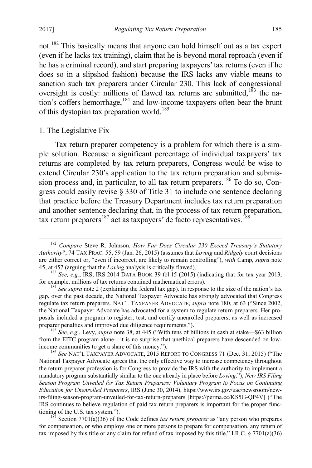not.[182](#page-35-1) This basically means that anyone can hold himself out as a tax expert (even if he lacks tax training), claim that he is beyond moral reproach (even if he has a criminal record), and start preparing taxpayers' tax returns (even if he does so in a slipshod fashion) because the IRS lacks any viable means to sanction such tax preparers under Circular 230. This lack of congressional oversight is costly: millions of flawed tax returns are submitted,<sup>[183](#page-35-2)</sup> the na-tion's coffers hemorrhage,<sup>[184](#page-35-3)</sup> and low-income taxpayers often bear the brunt of this dystopian tax preparation world.<sup>[185](#page-35-4)</sup>

#### <span id="page-35-0"></span>1. The Legislative Fix

Tax return preparer competency is a problem for which there is a simple solution. Because a significant percentage of individual taxpayers' tax returns are completed by tax return preparers, Congress would be wise to extend Circular 230's application to the tax return preparation and submis-sion process and, in particular, to all tax return preparers.<sup>[186](#page-35-5)</sup> To do so, Congress could easily revise § 330 of Title 31 to include one sentence declaring that practice before the Treasury Department includes tax return preparation and another sentence declaring that, in the process of tax return preparation, tax return preparers<sup>[187](#page-35-6)</sup> act as taxpayers' de facto representatives.<sup>[188](#page-35-7)</sup>

<span id="page-35-1"></span> <sup>182</sup> *Compare* Steve R. Johnson, *How Far Does Circular 230 Exceed Treasury's Statutory Authority?*, 74 TAX PRAC. 55, 59 (Jan. 26, 2015) (assumes that *Loving* and *Ridgely* court decisions are either correct or, "even if incorrect, are likely to remain controlling"), *with* Camp, *supra* note

<span id="page-35-2"></span>[<sup>45,</sup>](#page-9-0) at 457 (arguing that the *Loving* analysis is critically flawed).<br><sup>183</sup> *See, e.g.*, IRS, IRS 2014 DATA BOOK 39 tbl.15 (2015) (indicating that for tax year 2013, for example, millions of tax returns contained mathemati

<span id="page-35-3"></span> $\frac{184}{\text{See}}$  *See supra* not[e 2](#page-3-6) (explaining the federal tax gap). In response to the size of the nation's tax gap, over the past decade, the National Taxpayer Advocate has strongly advocated that Congress regulate tax return preparers. NAT'L TAXPAYER ADVOCATE, *supra* note [180,](#page-34-7) at 63 ("Since 2002, the National Taxpayer Advocate has advocated for a system to regulate return preparers. Her proposals included a program to register, test, and certify unenrolled preparers, as well as increased

<span id="page-35-7"></span><span id="page-35-4"></span><sup>&</sup>lt;sup>185</sup> *See, e.g.*, Levy, *supra* note [38,](#page-8-6) at 445 ("With tens of billions in cash at stake—\$63 billion from the EITC program alone—it is no surprise that unethical preparers have descended on lowincome communities to get a share of this money.").<br><sup>186</sup> *See* NAT'L TAXPAYER ADVOCATE, 2015 REPORT TO CONGRESS 71 (Dec. 31, 2015) ("The

<span id="page-35-5"></span>National Taxpayer Advocate agrees that the only effective way to increase competency throughout the return preparer profession is for Congress to provide the IRS with the authority to implement a mandatory program substantially similar to the one already in place before *Loving*."); *New IRS Filing Season Program Unveiled for Tax Return Preparers: Voluntary Program to Focus on Continuing Education for Unenrolled Preparers*, IRS (June 30, 2014), https://www.irs.gov/uac/newsroom/newirs-filing-season-program-unveiled-for-tax-return-preparers [https://perma.cc/KS5G-QP4V] ("The IRS continues to believe regulation of paid tax return preparers is important for the proper func-

<span id="page-35-6"></span> $187$  Section 7701(a)(36) of the Code defines *tax return preparer* as "any person who prepares for compensation, or who employs one or more persons to prepare for compensation, any return of tax imposed by this title or any claim for refund of tax imposed by this title." I.R.C.  $\S 7701(a)(36)$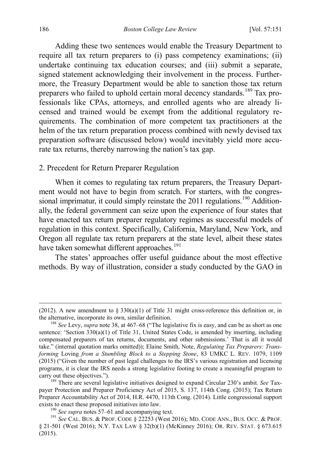Adding these two sentences would enable the Treasury Department to require all tax return preparers to (i) pass competency examinations; (ii) undertake continuing tax education courses; and (iii) submit a separate, signed statement acknowledging their involvement in the process. Furthermore, the Treasury Department would be able to sanction those tax return preparers who failed to uphold certain moral decency standards.<sup>[189](#page-36-1)</sup> Tax professionals like CPAs, attorneys, and enrolled agents who are already licensed and trained would be exempt from the additional regulatory requirements. The combination of more competent tax practitioners at the helm of the tax return preparation process combined with newly devised tax preparation software (discussed below) would inevitably yield more accurate tax returns, thereby narrowing the nation's tax gap.

#### <span id="page-36-0"></span>2. Precedent for Return Preparer Regulation

When it comes to regulating tax return preparers, the Treasury Department would not have to begin from scratch. For starters, with the congressional imprimatur, it could simply reinstate the  $2011$  regulations.<sup>[190](#page-36-2)</sup> Additionally, the federal government can seize upon the experience of four states that have enacted tax return preparer regulatory regimes as successful models of regulation in this context. Specifically, California, Maryland, New York, and Oregon all regulate tax return preparers at the state level, albeit these states have taken somewhat different approaches.<sup>[191](#page-36-3)</sup>

The states' approaches offer useful guidance about the most effective methods. By way of illustration, consider a study conducted by the GAO in

 $\overline{a}$ 

<sup>(2012).</sup> A new amendment to § 330(a)(1) of Title 31 might cross-reference this definition or, in the alternative, incorporate its own, similar definition.<br><sup>188</sup> *See* Levy, *supra* note [38,](#page-8-6) at 467–68 ("The legislative fix is easy, and can be as short as one

sentence: 'Section 330(a)(1) of Title 31, United States Code, is amended by inserting, including compensated preparers of tax returns, documents, and other submissions.' That is all it would take." (internal quotation marks omitted)); Elaine Smith, Note, *Regulating Tax Preparers: Transforming* Loving *from a Stumbling Block to a Stepping Stone*, 83 UMKC L. REV. 1079, 1109 (2015) ("Given the number of past legal challenges to the IRS's various registration and licensing programs, it is clear the IRS needs a strong legislative footing to create a meaningful program to carry out these objectives."). <sup>189</sup> There are several legislative initiatives designed to expand Circular 230's ambit*. See* Tax-

<span id="page-36-1"></span>payer Protection and Preparer Proficiency Act of 2015, S. 137, 114th Cong. (2015); Tax Return Preparer Accountability Act of 2014, H.R. 4470, 113th Cong. (2014). Little congressional support exists to enact these proposed initiatives into law.<br><sup>190</sup> *See supra* note[s 57](#page-11-0)[–61](#page-11-9) and accompanying text.<br><sup>191</sup> *See* CAL. BUS. & PROF. CODE § 22253 (West 2016); MD. CODE ANN., BUS. OCC. & PROF.

<span id="page-36-3"></span><span id="page-36-2"></span><sup>§ 21-501 (</sup>West 2016); N.Y. TAX LAW § 32(b)(1) (McKinney 2016); OR. REV. STAT. § 673.615 (2015).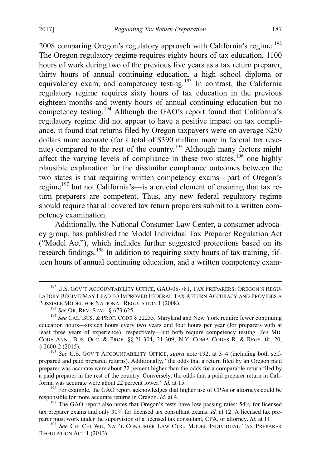<span id="page-37-0"></span>2008 comparing Oregon's regulatory approach with California's regime.<sup>[192](#page-37-1)</sup> The Oregon regulatory regime requires eighty hours of tax education, 1100 hours of work during two of the previous five years as a tax return preparer, thirty hours of annual continuing education, a high school diploma or equivalency exam, and competency testing.<sup>[193](#page-37-2)</sup> In contrast, the California regulatory regime requires sixty hours of tax education in the previous eighteen months and twenty hours of annual continuing education but no competency testing.<sup>[194](#page-37-3)</sup> Although the GAO's report found that California's regulatory regime did not appear to have a positive impact on tax compliance, it found that returns filed by Oregon taxpayers were on average \$250 dollars more accurate (for a total of \$390 million more in federal tax reve-nue) compared to the rest of the country.<sup>[195](#page-37-4)</sup> Although many factors might affect the varying levels of compliance in these two states,  $196$  one highly plausible explanation for the dissimilar compliance outcomes between the two states is that requiring written competency exams—part of Oregon's regime<sup>[197](#page-37-6)</sup> but not California's—is a crucial element of ensuring that tax return preparers are competent. Thus, any new federal regulatory regime should require that all covered tax return preparers submit to a written competency examination.

Additionally, the National Consumer Law Center, a consumer advocacy group, has published the Model Individual Tax Preparer Regulation Act ("Model Act"), which includes further suggested protections based on its research findings.<sup>[198](#page-37-7)</sup> In addition to requiring sixty hours of tax training, fifteen hours of annual continuing education, and a written competency exam-

<span id="page-37-1"></span><sup>&</sup>lt;sup>192</sup> U.S. GOV'T ACCOUNTABILITY OFFICE, GAO-08-781, TAX PREPARERS: OREGON'S REGU-LATORY REGIME MAY LEAD TO IMPROVED FEDERAL TAX RETURN ACCURACY AND PROVIDES A POSSIBLE MODEL FOR NATIONAL REGULATION 1 (2008).<br><sup>193</sup> *See* OR. REV. STAT. § 673.625.<br><sup>194</sup> *See* CAL. BUS. & PROF. CODE § 22255. Maryland and New York require fewer continuing

<span id="page-37-3"></span><span id="page-37-2"></span>education hours—sixteen hours every two years and four hours per year (for preparers with at least three years of experience), respectively—but both require competency testing. *See* MD. CODE ANN., BUS. OCC. & PROF. §§ 21-304, 21-309; N.Y. COMP. CODES R. & REGS. tit. 20, § 2600-2 (2015). 195 *See* U.S. GOV'T ACCOUNTABILITY OFFICE, *supra* note [192,](#page-37-0) at 3–4 (including both self-

<span id="page-37-4"></span>prepared and paid prepared returns). Additionally, "the odds that a return filed by an Oregon paid preparer was accurate were about 72 percent higher than the odds for a comparable return filed by a paid preparer in the rest of the country. Conversely, the odds that a paid preparer return in Cali-

<span id="page-37-5"></span>fornia was accurate were about 22 percent lower." *Id.* at 15.<br><sup>196</sup> For example, the GAO report acknowledges that higher use of CPAs or attorneys could be responsible for more accurate returns in Oregon. *Id.* at 4.

<span id="page-37-6"></span><sup>&</sup>lt;sup>197</sup> The GAO report also notes that Oregon's tests have low passing rates: 54% for licensed tax preparer exams and only 30% for licensed tax consultant exams. *Id.* at 12. A licensed tax pre-

<span id="page-37-7"></span>parer must work under the supervision of a licensed tax consultant, CPA, or attorney. *Id.* at 11. <sup>198</sup> *See* CHI CHI WU, NAT'L CONSUMER LAW CTR., MODEL INDIVIDUAL TAX PREPARER REGULATION ACT 1 (2013).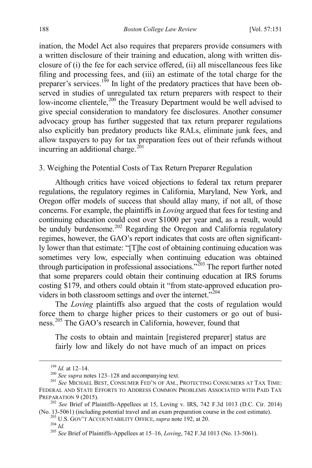ination, the Model Act also requires that preparers provide consumers with a written disclosure of their training and education, along with written disclosure of (i) the fee for each service offered, (ii) all miscellaneous fees like filing and processing fees, and (iii) an estimate of the total charge for the preparer's services.<sup>[199](#page-38-1)</sup> In light of the predatory practices that have been observed in studies of unregulated tax return preparers with respect to their low-income clientele,<sup>[200](#page-38-2)</sup> the Treasury Department would be well advised to give special consideration to mandatory fee disclosures. Another consumer advocacy group has further suggested that tax return preparer regulations also explicitly ban predatory products like RALs, eliminate junk fees, and allow taxpayers to pay for tax preparation fees out of their refunds without incurring an additional charge.<sup>[201](#page-38-3)</sup>

#### <span id="page-38-0"></span>3. Weighing the Potential Costs of Tax Return Preparer Regulation

Although critics have voiced objections to federal tax return preparer regulations, the regulatory regimes in California, Maryland, New York, and Oregon offer models of success that should allay many, if not all, of those concerns. For example, the plaintiffs in *Loving* argued that fees for testing and continuing education could cost over \$1000 per year and, as a result, would be unduly burdensome.<sup>[202](#page-38-4)</sup> Regarding the Oregon and California regulatory regimes, however, the GAO's report indicates that costs are often significantly lower than that estimate: "[T]he cost of obtaining continuing education was sometimes very low, especially when continuing education was obtained through participation in professional associations.<sup> $203$ </sup> The report further noted that some preparers could obtain their continuing education at IRS forums costing \$179, and others could obtain it "from state-approved education providers in both classroom settings and over the internet. $\frac{1}{20}$ <sup>[204](#page-38-6)</sup>

The *Loving* plaintiffs also argued that the costs of regulation would force them to charge higher prices to their customers or go out of business.[205](#page-38-7) The GAO's research in California, however, found that

The costs to obtain and maintain [registered preparer] status are fairly low and likely do not have much of an impact on prices

<span id="page-38-3"></span><span id="page-38-2"></span><span id="page-38-1"></span><sup>&</sup>lt;sup>199</sup> *Id.* at 12–14.<br><sup>200</sup> *See supra* note[s 123](#page-23-6)[–128](#page-23-7) and accompanying text.<br><sup>201</sup> *See* MICHAEL BEST, CONSUMER FED'N OF AM., PROTECTING CONSUMERS AT TAX TIME: FEDERAL AND STATE EFFORTS TO ADDRESS COMMON PROBLEMS ASSOCIATED WITH PAID TAX PREPARATION 9 (2015).<br><sup>202</sup> *See* Brief of Plaintiffs-Appellees at 15, Loving v. IRS, 742 F.3d 1013 (D.C. Cir. 2014)

<span id="page-38-7"></span><span id="page-38-6"></span><span id="page-38-5"></span><span id="page-38-4"></span><sup>(</sup>No. 13-5061) (including potential travel and an exam preparation course in the cost estimate).<br><sup>203</sup> U.S. GOV'T ACCOUNTABILITY OFFICE, *supra* not[e 192,](#page-37-0) at 20.<br><sup>204</sup> Id.<br><sup>205</sup> See Brief of Plaintiffs-Appellees at 15–16,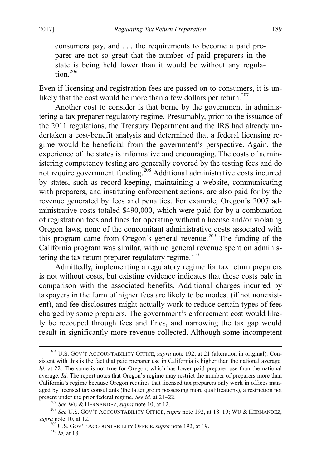consumers pay, and . . . the requirements to become a paid preparer are not so great that the number of paid preparers in the state is being held lower than it would be without any regula-tion.<sup>[206](#page-39-0)</sup>

Even if licensing and registration fees are passed on to consumers, it is un-likely that the cost would be more than a few dollars per return.<sup>[207](#page-39-1)</sup>

Another cost to consider is that borne by the government in administering a tax preparer regulatory regime. Presumably, prior to the issuance of the 2011 regulations, the Treasury Department and the IRS had already undertaken a cost-benefit analysis and determined that a federal licensing regime would be beneficial from the government's perspective. Again, the experience of the states is informative and encouraging. The costs of administering competency testing are generally covered by the testing fees and do not require government funding.<sup>[208](#page-39-2)</sup> Additional administrative costs incurred by states, such as record keeping, maintaining a website, communicating with preparers, and instituting enforcement actions, are also paid for by the revenue generated by fees and penalties. For example, Oregon's 2007 administrative costs totaled \$490,000, which were paid for by a combination of registration fees and fines for operating without a license and/or violating Oregon laws; none of the concomitant administrative costs associated with this program came from Oregon's general revenue.<sup>[209](#page-39-3)</sup> The funding of the California program was similar, with no general revenue spent on adminis-tering the tax return preparer regulatory regime.<sup>[210](#page-39-4)</sup>

Admittedly, implementing a regulatory regime for tax return preparers is not without costs, but existing evidence indicates that these costs pale in comparison with the associated benefits. Additional charges incurred by taxpayers in the form of higher fees are likely to be modest (if not nonexistent), and fee disclosures might actually work to reduce certain types of fees charged by some preparers. The government's enforcement cost would likely be recouped through fees and fines, and narrowing the tax gap would result in significantly more revenue collected. Although some incompetent

<span id="page-39-0"></span> <sup>206</sup> U.S. GOV'T ACCOUNTABILITY OFFICE, *supra* note [192,](#page-37-0) at 21 (alteration in original). Consistent with this is the fact that paid preparer use in California is higher than the national average. *Id.* at 22. The same is not true for Oregon, which has lower paid preparer use than the national average. *Id*. The report notes that Oregon's regime may restrict the number of preparers more than California's regime because Oregon requires that licensed tax preparers only work in offices managed by licensed tax consultants (the latter group possessing more qualifications), a restriction not present under the prior federal regime. See id. at  $21-22$ .

<span id="page-39-4"></span><span id="page-39-3"></span><span id="page-39-2"></span><span id="page-39-1"></span><sup>&</sup>lt;sup>207</sup> See WU & HERNANDEZ, *supra* not[e 10,](#page-4-10) at 12.<br><sup>208</sup> See U.S. GOV'T ACCOUNTABILITY OFFICE, *supra* not[e 192,](#page-37-0) at 18–19; WU & HERNANDEZ, *supra* note 10, at 12.

*supra* not[e 10,](#page-4-10) at 12. <sup>209</sup> U.S. GOV'T ACCOUNTABILITY OFFICE, *supra* note [192,](#page-37-0) at 19. <sup>210</sup> *Id.* at 18.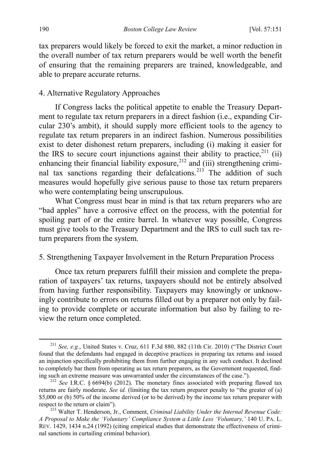tax preparers would likely be forced to exit the market, a minor reduction in the overall number of tax return preparers would be well worth the benefit of ensuring that the remaining preparers are trained, knowledgeable, and able to prepare accurate returns.

#### <span id="page-40-0"></span>4. Alternative Regulatory Approaches

If Congress lacks the political appetite to enable the Treasury Department to regulate tax return preparers in a direct fashion (i.e., expanding Circular 230's ambit), it should supply more efficient tools to the agency to regulate tax return preparers in an indirect fashion. Numerous possibilities exist to deter dishonest return preparers, including (i) making it easier for the IRS to secure court injunctions against their ability to practice,  $^{211}$  $^{211}$  $^{211}$  (ii) enhancing their financial liability exposure,<sup>[212](#page-40-3)</sup> and (iii) strengthening crimi-nal tax sanctions regarding their defalcations.<sup>[213](#page-40-4)</sup> The addition of such measures would hopefully give serious pause to those tax return preparers who were contemplating being unscrupulous.

What Congress must bear in mind is that tax return preparers who are "bad apples" have a corrosive effect on the process, with the potential for spoiling part of or the entire barrel. In whatever way possible, Congress must give tools to the Treasury Department and the IRS to cull such tax return preparers from the system.

# <span id="page-40-1"></span>5. Strengthening Taxpayer Involvement in the Return Preparation Process

Once tax return preparers fulfill their mission and complete the preparation of taxpayers' tax returns, taxpayers should not be entirely absolved from having further responsibility. Taxpayers may knowingly or unknowingly contribute to errors on returns filled out by a preparer not only by failing to provide complete or accurate information but also by failing to review the return once completed.

<span id="page-40-2"></span> <sup>211</sup> *See, e.g.*, United States v. Cruz, 611 F.3d 880, 882 (11th Cir. 2010) ("The District Court found that the defendants had engaged in deceptive practices in preparing tax returns and issued an injunction specifically prohibiting them from further engaging in any such conduct. It declined to completely bar them from operating as tax return preparers, as the Government requested, finding such an extreme measure was unwarranted under the circumstances of the case."). <sup>212</sup> *See* I.R.C. § 6694(b) (2012). The monetary fines associated with preparing flawed tax

<span id="page-40-3"></span>returns are fairly moderate. *See id.* (limiting the tax return preparer penalty to "the greater of (a) \$5,000 or (b) 50% of the income derived (or to be derived) by the income tax return preparer with respect to the return or claim"). <sup>213</sup> Walter T. Henderson, Jr., Comment, *Criminal Liability Under the Internal Revenue Code:* 

<span id="page-40-4"></span>*A Proposal to Make the 'Voluntary' Compliance System a Little Less 'Voluntary,'* 140 U. PA. L. REV. 1429, 1434 n.24 (1992) (citing empirical studies that demonstrate the effectiveness of criminal sanctions in curtailing criminal behavior).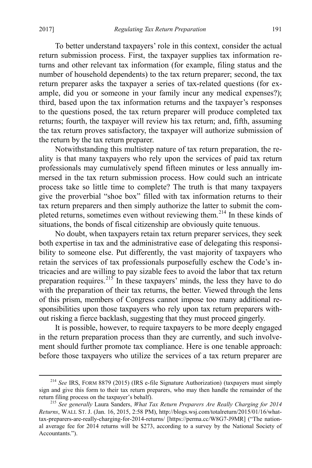To better understand taxpayers' role in this context, consider the actual return submission process. First, the taxpayer supplies tax information returns and other relevant tax information (for example, filing status and the number of household dependents) to the tax return preparer; second, the tax return preparer asks the taxpayer a series of tax-related questions (for example, did you or someone in your family incur any medical expenses?); third, based upon the tax information returns and the taxpayer's responses to the questions posed, the tax return preparer will produce completed tax returns; fourth, the taxpayer will review his tax return; and, fifth, assuming the tax return proves satisfactory, the taxpayer will authorize submission of the return by the tax return preparer.

Notwithstanding this multistep nature of tax return preparation, the reality is that many taxpayers who rely upon the services of paid tax return professionals may cumulatively spend fifteen minutes or less annually immersed in the tax return submission process. How could such an intricate process take so little time to complete? The truth is that many taxpayers give the proverbial "shoe box" filled with tax information returns to their tax return preparers and then simply authorize the latter to submit the com-pleted returns, sometimes even without reviewing them.<sup>[214](#page-41-0)</sup> In these kinds of situations, the bonds of fiscal citizenship are obviously quite tenuous.

No doubt, when taxpayers retain tax return preparer services, they seek both expertise in tax and the administrative ease of delegating this responsibility to someone else. Put differently, the vast majority of taxpayers who retain the services of tax professionals purposefully eschew the Code's intricacies and are willing to pay sizable fees to avoid the labor that tax return preparation requires.<sup>[215](#page-41-1)</sup> In these taxpayers' minds, the less they have to do with the preparation of their tax returns, the better. Viewed through the lens of this prism, members of Congress cannot impose too many additional responsibilities upon those taxpayers who rely upon tax return preparers without risking a fierce backlash, suggesting that they must proceed gingerly.

It is possible, however, to require taxpayers to be more deeply engaged in the return preparation process than they are currently, and such involvement should further promote tax compliance. Here is one tenable approach: before those taxpayers who utilize the services of a tax return preparer are

<span id="page-41-0"></span> <sup>214</sup> *See* IRS, FORM 8879 (2015) (IRS e-file Signature Authorization) (taxpayers must simply sign and give this form to their tax return preparers, who may then handle the remainder of the return filing process on the taxpayer's behalf).

<span id="page-41-1"></span><sup>&</sup>lt;sup>215</sup> See generally Laura Sanders, *What Tax Return Preparers Are Really Charging for 2014 Returns*, WALL ST. J. (Jan. 16, 2015, 2:58 PM), http://blogs.wsj.com/totalreturn/2015/01/16/whattax-preparers-are-really-charging-for-2014-returns/ [https://perma.cc/W8G7-J9MR] ("The national average fee for 2014 returns will be \$273, according to a survey by the National Society of Accountants.").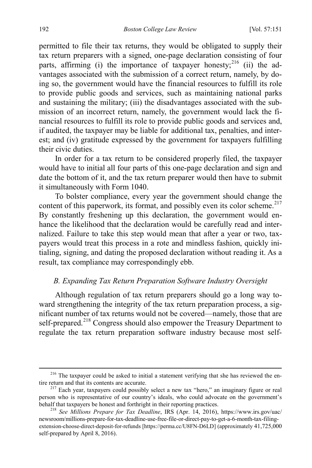permitted to file their tax returns, they would be obligated to supply their tax return preparers with a signed, one-page declaration consisting of four parts, affirming (i) the importance of taxpayer honesty;<sup>[216](#page-42-3)</sup> (ii) the advantages associated with the submission of a correct return, namely, by doing so, the government would have the financial resources to fulfill its role to provide public goods and services, such as maintaining national parks and sustaining the military; (iii) the disadvantages associated with the submission of an incorrect return, namely, the government would lack the financial resources to fulfill its role to provide public goods and services and, if audited, the taxpayer may be liable for additional tax, penalties, and interest; and (iv) gratitude expressed by the government for taxpayers fulfilling their civic duties.

In order for a tax return to be considered properly filed, the taxpayer would have to initial all four parts of this one-page declaration and sign and date the bottom of it, and the tax return preparer would then have to submit it simultaneously with Form 1040.

To bolster compliance, every year the government should change the content of this paperwork, its format, and possibly even its color scheme.<sup>[217](#page-42-4)</sup> By constantly freshening up this declaration, the government would enhance the likelihood that the declaration would be carefully read and internalized. Failure to take this step would mean that after a year or two, taxpayers would treat this process in a rote and mindless fashion, quickly initialing, signing, and dating the proposed declaration without reading it. As a result, tax compliance may correspondingly ebb.

# <span id="page-42-2"></span><span id="page-42-1"></span><span id="page-42-0"></span>*B. Expanding Tax Return Preparation Software Industry Oversight*

Although regulation of tax return preparers should go a long way toward strengthening the integrity of the tax return preparation process, a significant number of tax returns would not be covered—namely, those that are self-prepared.<sup>218</sup> Congress should also empower the Treasury Department to regulate the tax return preparation software industry because most self-

<span id="page-42-3"></span> $216$  The taxpayer could be asked to initial a statement verifying that she has reviewed the entire return and that its contents are accurate.

<span id="page-42-4"></span><sup>&</sup>lt;sup>217</sup> Each year, taxpayers could possibly select a new tax "hero," an imaginary figure or real person who is representative of our country's ideals, who could advocate on the government's

<span id="page-42-5"></span><sup>&</sup>lt;sup>218</sup> See Millions Prepare for Tax Deadline, IRS (Apr. 14, 2016), https://www.irs.gov/uac/ newsroom/millions-prepare-for-tax-deadline-use-free-file-or-direct-pay-to-get-a-6-month-tax-filingextension-choose-direct-deposit-for-refunds [https://perma.cc/U8FN-D6LD] (approximately 41,725,000 self-prepared by April 8, 2016).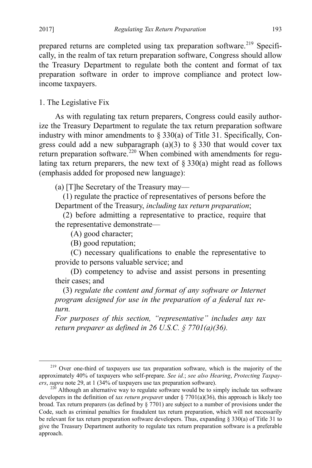prepared returns are completed using tax preparation software.<sup>[219](#page-43-1)</sup> Specifically, in the realm of tax return preparation software, Congress should allow the Treasury Department to regulate both the content and format of tax preparation software in order to improve compliance and protect lowincome taxpayers.

<span id="page-43-0"></span>1. The Legislative Fix

As with regulating tax return preparers, Congress could easily authorize the Treasury Department to regulate the tax return preparation software industry with minor amendments to  $\S$  330(a) of Title 31. Specifically, Congress could add a new subparagraph (a)(3) to  $\S 330$  that would cover tax return preparation software.<sup>[220](#page-43-2)</sup> When combined with amendments for regulating tax return preparers, the new text of  $\S 330(a)$  might read as follows (emphasis added for proposed new language):

(a) [T]he Secretary of the Treasury may—

(1) regulate the practice of representatives of persons before the Department of the Treasury, *including tax return preparation*;

(2) before admitting a representative to practice, require that the representative demonstrate—

(A) good character;

(B) good reputation;

 (C) necessary qualifications to enable the representative to provide to persons valuable service; and

 (D) competency to advise and assist persons in presenting their cases; and

(3) *regulate the content and format of any software or Internet program designed for use in the preparation of a federal tax return.*

*For purposes of this section, "representative" includes any tax return preparer as defined in 26 U.S.C. § 7701(a)(36).* 

<span id="page-43-1"></span><sup>&</sup>lt;sup>219</sup> Over one-third of taxpayers use tax preparation software, which is the majority of the approximately 40% of taxpayers who self-prepare. *See id.*; *see also Hearing*, *Protecting Taxpay-*

<span id="page-43-2"></span>*ers*, *supra* note [29,](#page-6-6) at 1 (34% of taxpayers use tax preparation software).<br><sup>220</sup> Although an alternative way to regulate software would be to simply include tax software developers in the definition of *tax return prepare*r under § 7701(a)(36), this approach is likely too broad. Tax return preparers (as defined by § 7701) are subject to a number of provisions under the Code, such as criminal penalties for fraudulent tax return preparation, which will not necessarily be relevant for tax return preparation software developers. Thus, expanding § 330(a) of Title 31 to give the Treasury Department authority to regulate tax return preparation software is a preferable approach.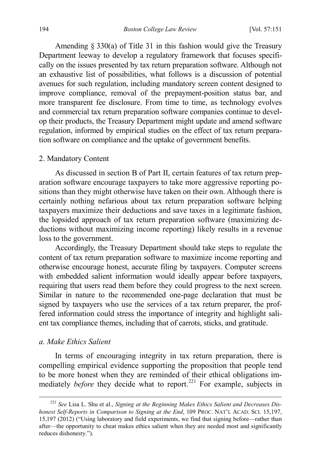Amending § 330(a) of Title 31 in this fashion would give the Treasury Department leeway to develop a regulatory framework that focuses specifically on the issues presented by tax return preparation software. Although not an exhaustive list of possibilities, what follows is a discussion of potential avenues for such regulation, including mandatory screen content designed to improve compliance, removal of the prepayment-position status bar, and more transparent fee disclosure. From time to time, as technology evolves and commercial tax return preparation software companies continue to develop their products, the Treasury Department might update and amend software regulation, informed by empirical studies on the effect of tax return preparation software on compliance and the uptake of government benefits.

# <span id="page-44-0"></span>2. Mandatory Content

As discussed in section B of Part II, certain features of tax return preparation software encourage taxpayers to take more aggressive reporting positions than they might otherwise have taken on their own. Although there is certainly nothing nefarious about tax return preparation software helping taxpayers maximize their deductions and save taxes in a legitimate fashion, the lopsided approach of tax return preparation software (maximizing deductions without maximizing income reporting) likely results in a revenue loss to the government.

Accordingly, the Treasury Department should take steps to regulate the content of tax return preparation software to maximize income reporting and otherwise encourage honest, accurate filing by taxpayers. Computer screens with embedded salient information would ideally appear before taxpayers, requiring that users read them before they could progress to the next screen. Similar in nature to the recommended one-page declaration that must be signed by taxpayers who use the services of a tax return preparer, the proffered information could stress the importance of integrity and highlight salient tax compliance themes, including that of carrots, sticks, and gratitude.

# *a. Make Ethics Salient*

In terms of encouraging integrity in tax return preparation, there is compelling empirical evidence supporting the proposition that people tend to be more honest when they are reminded of their ethical obligations immediately *before* they decide what to report.<sup>[221](#page-44-1)</sup> For example, subjects in

<span id="page-44-2"></span><span id="page-44-1"></span> <sup>221</sup> *See* Lisa L. Shu et al., *Signing at the Beginning Makes Ethics Salient and Decreases Dishonest Self-Reports in Comparison to Signing at the End*, 109 PROC. NAT'L ACAD. SCI. 15,197, 15,197 (2012) ("Using laboratory and field experiments, we find that signing before—rather than after—the opportunity to cheat makes ethics salient when they are needed most and significantly reduces dishonesty.").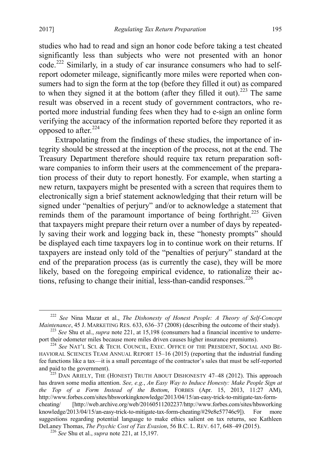studies who had to read and sign an honor code before taking a test cheated significantly less than subjects who were not presented with an honor code.[222](#page-45-0) Similarly, in a study of car insurance consumers who had to selfreport odometer mileage, significantly more miles were reported when consumers had to sign the form at the top (before they filled it out) as compared to when they signed it at the bottom (after they filled it out).<sup>[223](#page-45-1)</sup> The same result was observed in a recent study of government contractors, who reported more industrial funding fees when they had to e-sign an online form verifying the accuracy of the information reported before they reported it as opposed to after. $224$ 

<span id="page-45-5"></span>Extrapolating from the findings of these studies, the importance of integrity should be stressed at the inception of the process, not at the end. The Treasury Department therefore should require tax return preparation software companies to inform their users at the commencement of the preparation process of their duty to report honestly. For example, when starting a new return, taxpayers might be presented with a screen that requires them to electronically sign a brief statement acknowledging that their return will be signed under "penalties of perjury" and/or to acknowledge a statement that reminds them of the paramount importance of being forthright.<sup>[225](#page-45-3)</sup> Given that taxpayers might prepare their return over a number of days by repeatedly saving their work and logging back in, these "honesty prompts" should be displayed each time taxpayers log in to continue work on their returns. If taxpayers are instead only told of the "penalties of perjury" standard at the end of the preparation process (as is currently the case), they will be more likely, based on the foregoing empirical evidence, to rationalize their actions, refusing to change their initial, less-than-candid responses. $^{226}$  $^{226}$  $^{226}$ 

<span id="page-45-0"></span><sup>&</sup>lt;sup>222</sup> *See* Nina Mazar et al., *The Dishonesty of Honest People: A Theory of Self-Concept Maintenance*, 45 J. MARKETING RES. 633, 636–37 (2008) (describing the outcome of their study).

<span id="page-45-1"></span><sup>&</sup>lt;sup>223</sup> *See* Shu et al., *supra* not[e 221,](#page-44-2) at 15,198 (consumers had a financial incentive to underre-<br>port their odometer miles because more miles driven causes higher insurance premiums).

<span id="page-45-2"></span><sup>&</sup>lt;sup>224</sup> See NAT'L SCI. & TECH. COUNCIL, EXEC. OFFICE OF THE PRESIDENT, SOCIAL AND BE-HAVIORAL SCIENCES TEAM ANNUAL REPORT 15–16 (2015) (reporting that the industrial funding fee functions like a tax—it is a small percentage of the contractor's sales that must be self-reported and paid to the government).<br><sup>225</sup> DAN ARIELY, THE (HONEST) TRUTH ABOUT DISHONESTY 47–48 (2012). This approach

<span id="page-45-3"></span>has drawn some media attention. *See, e.g.*, *An Easy Way to Induce Honesty: Make People Sign at the Top of a Form Instead of the Bottom*, FORBES (Apr. 15, 2013, 11:27 AM), http://www.forbes.com/sites/hbsworkingknowledge/2013/04/15/an-easy-trick-to-mitigate-tax-formcheating/ [http://web.archive.org/web/20160511202237/http://www.forbes.com/sites/hbsworking knowledge/2013/04/15/an-easy-trick-to-mitigate-tax-form-cheating/#29e8e57746c9]). For more suggestions regarding potential language to make ethics salient on tax returns, see Kathleen DeLaney Thomas, *The Psychic Cost of Tax Evasion*, 56 B.C. L. REV. 617, 648–49 (2015). <sup>226</sup> *See* Shu et al., *supra* not[e 221,](#page-44-2) at 15,197.

<span id="page-45-4"></span>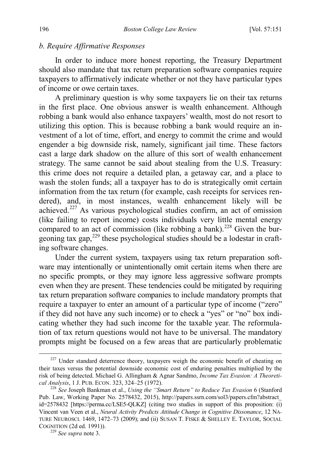# *b. Require Affirmative Responses*

In order to induce more honest reporting, the Treasury Department should also mandate that tax return preparation software companies require taxpayers to affirmatively indicate whether or not they have particular types of income or owe certain taxes.

A preliminary question is why some taxpayers lie on their tax returns in the first place. One obvious answer is wealth enhancement. Although robbing a bank would also enhance taxpayers' wealth, most do not resort to utilizing this option. This is because robbing a bank would require an investment of a lot of time, effort, and energy to commit the crime and would engender a big downside risk, namely, significant jail time. These factors cast a large dark shadow on the allure of this sort of wealth enhancement strategy. The same cannot be said about stealing from the U.S. Treasury: this crime does not require a detailed plan, a getaway car, and a place to wash the stolen funds; all a taxpayer has to do is strategically omit certain information from the tax return (for example, cash receipts for services rendered), and, in most instances, wealth enhancement likely will be achieved.[227](#page-46-0) As various psychological studies confirm, an act of omission (like failing to report income) costs individuals very little mental energy compared to an act of commission (like robbing a bank).<sup>[228](#page-46-1)</sup> Given the bur-geoning tax gap,<sup>[229](#page-46-2)</sup> these psychological studies should be a lodestar in crafting software changes.

<span id="page-46-3"></span>Under the current system, taxpayers using tax return preparation software may intentionally or unintentionally omit certain items when there are no specific prompts, or they may ignore less aggressive software prompts even when they are present. These tendencies could be mitigated by requiring tax return preparation software companies to include mandatory prompts that require a taxpayer to enter an amount of a particular type of income ("zero" if they did not have any such income) or to check a "yes" or "no" box indicating whether they had such income for the taxable year. The reformulation of tax return questions would not have to be universal. The mandatory prompts might be focused on a few areas that are particularly problematic

<span id="page-46-0"></span><sup>&</sup>lt;sup>227</sup> Under standard deterrence theory, taxpayers weigh the economic benefit of cheating on their taxes versus the potential downside economic cost of enduring penalties multiplied by the risk of being detected. Michael G. Allingham & Agnar Sandmo, *Income Tax Evasion: A Theoretical Analysis*, 1 J. PUB. ECON. 323, 324–25 (1972). <sup>228</sup> *See* Joseph Bankman et al., *Using the "Smart Return" to Reduce Tax Evasion* 6 (Stanford

<span id="page-46-1"></span>Pub. Law, Working Paper No. 2578432, 2015), http://papers.ssrn.com/sol3/papers.cfm?abstract\_ id=2578432 [https://perma.cc/LSE5-QLKZ] (citing two studies in support of this proposition: (i) Vincent van Veen et al., *Neural Activity Predicts Attitude Change in Cognitive Dissonance*, 12 NA-TURE NEUROSCI. 1469, 1472–73 (2009); and (ii) SUSAN T. FISKE & SHELLEY E. TAYLOR, SOCIAL COGNITION (2d ed. 1991)). <sup>229</sup> *See supra* not[e 3.](#page-3-7) 

<span id="page-46-2"></span>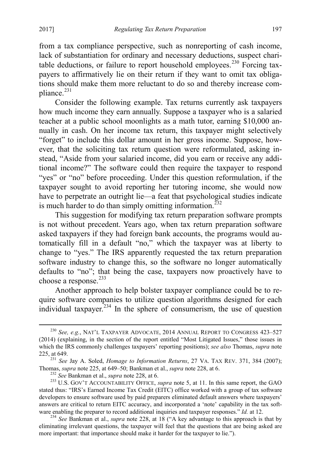from a tax compliance perspective, such as nonreporting of cash income, lack of substantiation for ordinary and necessary deductions, suspect chari-table deductions, or failure to report household employees.<sup>[230](#page-47-0)</sup> Forcing taxpayers to affirmatively lie on their return if they want to omit tax obligations should make them more reluctant to do so and thereby increase com-pliance.<sup>[231](#page-47-1)</sup>

Consider the following example. Tax returns currently ask taxpayers how much income they earn annually. Suppose a taxpayer who is a salaried teacher at a public school moonlights as a math tutor, earning \$10,000 annually in cash. On her income tax return, this taxpayer might selectively "forget" to include this dollar amount in her gross income. Suppose, however, that the soliciting tax return question were reformulated, asking instead, "Aside from your salaried income, did you earn or receive any additional income?" The software could then require the taxpayer to respond "yes" or "no" before proceeding. Under this question reformulation, if the taxpayer sought to avoid reporting her tutoring income, she would now have to perpetrate an outright lie—a feat that psychological studies indicate is much harder to do than simply omitting information.<sup>[232](#page-47-2)</sup>

This suggestion for modifying tax return preparation software prompts is not without precedent. Years ago, when tax return preparation software asked taxpayers if they had foreign bank accounts, the programs would automatically fill in a default "no," which the taxpayer was at liberty to change to "yes." The IRS apparently requested the tax return preparation software industry to change this, so the software no longer automatically defaults to "no"; that being the case, taxpayers now proactively have to choose a response.<sup>[233](#page-47-3)</sup>

<span id="page-47-5"></span>Another approach to help bolster taxpayer compliance could be to require software companies to utilize question algorithms designed for each individual taxpayer. $234$  In the sphere of consumerism, the use of question

<span id="page-47-0"></span> <sup>230</sup> *See, e.g.*, NAT'L TAXPAYER ADVOCATE, <sup>2014</sup> ANNUAL REPORT TO CONGRESS 423–527 (2014) (explaining, in the section of the report entitled "Most Litigated Issues," those issues in which the IRS commonly challenges taxpayers' reporting positions); *see also* Thomas, *supra* note [225,](#page-45-5) at 649.

<span id="page-47-1"></span><sup>&</sup>lt;sup>221</sup> *See Jay A. Soled, Homage to Information Returns*, 27 VA. TAX REV. 371, 384 (2007);<br>Thomas, *supra* note 225, at 649–50; Bankman et al., *supra* note 228, at 6.

<span id="page-47-3"></span><span id="page-47-2"></span><sup>&</sup>lt;sup>232</sup> See Bankman et al., *supra* note [228,](#page-46-3) at 6.<br><sup>233</sup> U.S. GOV'T ACCOUNTABILITY OFFICE, *supra* note [5,](#page-3-5) at 11. In this same report, the GAO stated thus: "IRS's Earned Income Tax Credit (EITC) office worked with a group of tax software developers to ensure software used by paid preparers eliminated default answers where taxpayers' answers are critical to return EITC accuracy, and incorporated a 'note' capability in the tax soft-<br>ware enabling the preparer to record additional inquiries and taxpayer responses." Id. at 12.

<span id="page-47-4"></span><sup>&</sup>lt;sup>234</sup> See Bankman et al., *supra* note [228,](#page-46-3) at 18 ("A key advantage to this approach is that by eliminating irrelevant questions, the taxpayer will feel that the questions that are being asked are more important: that importance should make it harder for the taxpayer to lie.").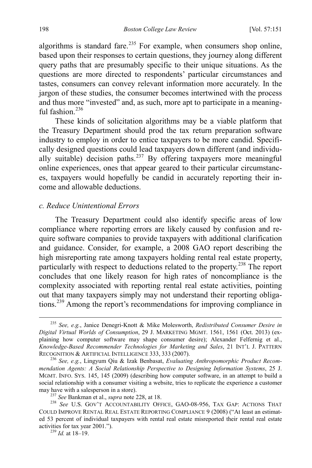algorithms is standard fare.<sup>[235](#page-48-0)</sup> For example, when consumers shop online, based upon their responses to certain questions, they journey along different query paths that are presumably specific to their unique situations. As the questions are more directed to respondents' particular circumstances and tastes, consumers can convey relevant information more accurately. In the jargon of these studies, the consumer becomes intertwined with the process and thus more "invested" and, as such, more apt to participate in a meaningful fashion $^{236}$  $^{236}$  $^{236}$ 

These kinds of solicitation algorithms may be a viable platform that the Treasury Department should prod the tax return preparation software industry to employ in order to entice taxpayers to be more candid. Specifically designed questions could lead taxpayers down different (and individu-ally suitable) decision paths.<sup>[237](#page-48-2)</sup> By offering taxpayers more meaningful online experiences, ones that appear geared to their particular circumstances, taxpayers would hopefully be candid in accurately reporting their income and allowable deductions.

#### *c. Reduce Unintentional Errors*

The Treasury Department could also identify specific areas of low compliance where reporting errors are likely caused by confusion and require software companies to provide taxpayers with additional clarification and guidance. Consider, for example, a 2008 GAO report describing the high misreporting rate among taxpayers holding rental real estate property, particularly with respect to deductions related to the property.[238](#page-48-3) The report concludes that one likely reason for high rates of noncompliance is the complexity associated with reporting rental real estate activities, pointing out that many taxpayers simply may not understand their reporting obligations.[239](#page-48-4) Among the report's recommendations for improving compliance in

<span id="page-48-0"></span> <sup>235</sup> *See, e.g.*, Janice Denegri-Knott & Mike Molesworth, *Redistributed Consumer Desire in Digital Virtual Worlds of Consumption*, 29 J. MARKETING MGMT. 1561, 1561 (Oct. 2013) (explaining how computer software may shape consumer desire); Alexander Felfernig et al., *Knowledge-Based Recommender Technologies for Marketing and Sales*, 21 INT'L J. PATTERN RECOGNITION & ARTIFICIAL INTELLIGENCE 333, <sup>333</sup> (2007). <sup>236</sup> *See, e.g.*, Lingyum Qiu & Izak Benbasat, *Evaluating Anthropomorphic Product Recom-*

<span id="page-48-1"></span>*mendation Agents: A Social Relationship Perspective to Designing Information Systems*, 25 J. MGMT. INFO. SYS. 145, 145 (2009) (describing how computer software, in an attempt to build a social relationship with a consumer visiting a website, tries to replicate the experience a customer may have with a salesperson in a store).

<span id="page-48-3"></span><span id="page-48-2"></span><sup>&</sup>lt;sup>237</sup> See Bankman et al., *supra* note [228,](#page-46-3) at 18.<br><sup>238</sup> See U.S. GOV'T ACCOUNTABILITY OFFICE, GAO-08-956, TAX GAP: ACTIONS THAT COULD IMPROVE RENTAL REAL ESTATE REPORTING COMPLIANCE 9 (2008) ("At least an estimated 53 percent of individual taxpayers with rental real estate misreported their rental real estate activities for tax year 2001."). <sup>239</sup> *Id.* at 18–19.

<span id="page-48-4"></span>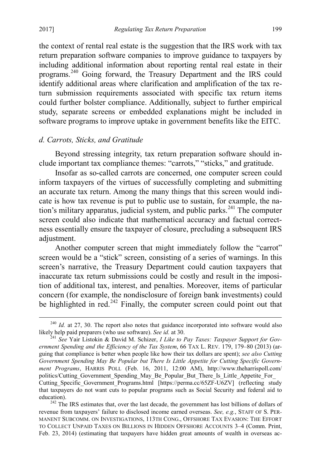the context of rental real estate is the suggestion that the IRS work with tax return preparation software companies to improve guidance to taxpayers by including additional information about reporting rental real estate in their programs.[240](#page-49-0) Going forward, the Treasury Department and the IRS could identify additional areas where clarification and amplification of the tax return submission requirements associated with specific tax return items could further bolster compliance. Additionally, subject to further empirical study, separate screens or embedded explanations might be included in software programs to improve uptake in government benefits like the EITC.

# *d. Carrots, Sticks, and Gratitude*

Beyond stressing integrity, tax return preparation software should include important tax compliance themes: "carrots," "sticks," and gratitude.

Insofar as so-called carrots are concerned, one computer screen could inform taxpayers of the virtues of successfully completing and submitting an accurate tax return. Among the many things that this screen would indicate is how tax revenue is put to public use to sustain, for example, the na-tion's military apparatus, judicial system, and public parks.<sup>[241](#page-49-1)</sup> The computer screen could also indicate that mathematical accuracy and factual correctness essentially ensure the taxpayer of closure, precluding a subsequent IRS adjustment.

Another computer screen that might immediately follow the "carrot" screen would be a "stick" screen, consisting of a series of warnings. In this screen's narrative, the Treasury Department could caution taxpayers that inaccurate tax return submissions could be costly and result in the imposition of additional tax, interest, and penalties. Moreover, items of particular concern (for example, the nondisclosure of foreign bank investments) could be highlighted in red. $242$  Finally, the computer screen could point out that

<span id="page-49-0"></span><sup>&</sup>lt;sup>240</sup> *Id.* at 27, 30. The report also notes that guidance incorporated into software would also likely help paid preparers (who use software). *See id.* at 30.

<span id="page-49-1"></span><sup>&</sup>lt;sup>241</sup> See Yair Listokin & David M. Schizer, *I Like to Pay Taxes: Taxpayer Support for Government Spending and the Efficiency of the Tax System*, 66 TAX L. REV. 179, 179–80 (2013) (arguing that compliance is better when people like how their tax dollars are spent); *see also Cutting Government Spending May Be Popular but There Is Little Appetite for Cutting Specific Government Programs*, HARRIS POLL (Feb. 16, 2011, 12:00 AM), http://www.theharrispoll.com/ politics/Cutting\_Government\_Spending\_May\_Be\_Popular\_But\_There\_Is\_Little\_Appetite\_For Cutting Specific Government Programs.html [https://perma.cc/65ZF-U6ZV] (reflecting study that taxpayers do not want cuts to popular programs such as Social Security and federal aid to

<span id="page-49-2"></span>education). <sup>242</sup> The IRS estimates that, over the last decade, the government has lost billions of dollars of revenue from taxpayers' failure to disclosed income earned overseas. *See, e.g.*, STAFF OF S. PER-MANENT SUBCOMM. ON INVESTIGATIONS, 113TH CONG., OFFSHORE TAX EVASION: THE EFFORT TO COLLECT UNPAID TAXES ON BILLIONS IN HIDDEN OFFSHORE ACCOUNTS 3–4 (Comm. Print, Feb. 23, 2014) (estimating that taxpayers have hidden great amounts of wealth in overseas ac-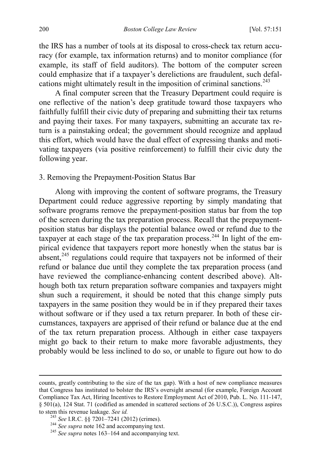the IRS has a number of tools at its disposal to cross-check tax return accuracy (for example, tax information returns) and to monitor compliance (for example, its staff of field auditors). The bottom of the computer screen could emphasize that if a taxpayer's derelictions are fraudulent, such defal-cations might ultimately result in the imposition of criminal sanctions.<sup>[243](#page-50-1)</sup>

A final computer screen that the Treasury Department could require is one reflective of the nation's deep gratitude toward those taxpayers who faithfully fulfill their civic duty of preparing and submitting their tax returns and paying their taxes. For many taxpayers, submitting an accurate tax return is a painstaking ordeal; the government should recognize and applaud this effort, which would have the dual effect of expressing thanks and motivating taxpayers (via positive reinforcement) to fulfill their civic duty the following year.

<span id="page-50-0"></span>3. Removing the Prepayment-Position Status Bar

Along with improving the content of software programs, the Treasury Department could reduce aggressive reporting by simply mandating that software programs remove the prepayment-position status bar from the top of the screen during the tax preparation process. Recall that the prepaymentposition status bar displays the potential balance owed or refund due to the taxpayer at each stage of the tax preparation process.<sup>[244](#page-50-2)</sup> In light of the empirical evidence that taxpayers report more honestly when the status bar is absent,  $245$  regulations could require that taxpayers not be informed of their refund or balance due until they complete the tax preparation process (and have reviewed the compliance-enhancing content described above). Although both tax return preparation software companies and taxpayers might shun such a requirement, it should be noted that this change simply puts taxpayers in the same position they would be in if they prepared their taxes without software or if they used a tax return preparer. In both of these circumstances, taxpayers are apprised of their refund or balance due at the end of the tax return preparation process. Although in either case taxpayers might go back to their return to make more favorable adjustments, they probably would be less inclined to do so, or unable to figure out how to do

 $\overline{a}$ 

counts, greatly contributing to the size of the tax gap). With a host of new compliance measures that Congress has instituted to bolster the IRS's oversight arsenal (for example, Foreign Account Compliance Tax Act, Hiring Incentives to Restore Employment Act of 2010, Pub. L. No. 111-147, § 501(a), 124 Stat. 71 (codified as amended in scattered sections of 26 U.S.C.)), Congress aspires to stem this revenue leakage. See id.

<span id="page-50-3"></span>

<span id="page-50-2"></span><span id="page-50-1"></span><sup>&</sup>lt;sup>243</sup> *See I.R.C.* §§ 7201–7241 (2012) (crimes). <sup>244</sup> *See supra* not[e 162](#page-31-6) and accompanying text. <sup>245</sup> *See supra* note[s 163](#page-31-7)[–164](#page-31-8) and accompanying text.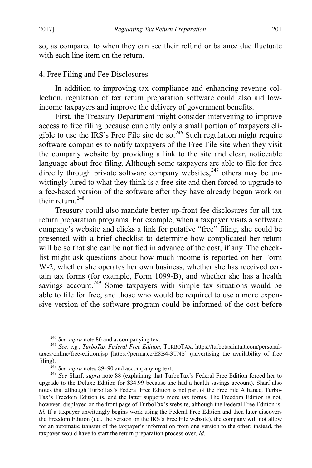so, as compared to when they can see their refund or balance due fluctuate with each line item on the return.

# <span id="page-51-0"></span>4. Free Filing and Fee Disclosures

In addition to improving tax compliance and enhancing revenue collection, regulation of tax return preparation software could also aid lowincome taxpayers and improve the delivery of government benefits.

First, the Treasury Department might consider intervening to improve access to free filing because currently only a small portion of taxpayers eli-gible to use the IRS's Free File site do so.<sup>[246](#page-51-1)</sup> Such regulation might require software companies to notify taxpayers of the Free File site when they visit the company website by providing a link to the site and clear, noticeable language about free filing. Although some taxpayers are able to file for free directly through private software company websites,  $247$  others may be unwittingly lured to what they think is a free site and then forced to upgrade to a fee-based version of the software after they have already begun work on their return.<sup>[248](#page-51-3)</sup>

Treasury could also mandate better up-front fee disclosures for all tax return preparation programs. For example, when a taxpayer visits a software company's website and clicks a link for putative "free" filing, she could be presented with a brief checklist to determine how complicated her return will be so that she can be notified in advance of the cost, if any. The checklist might ask questions about how much income is reported on her Form W-2, whether she operates her own business, whether she has received certain tax forms (for example, Form 1099-B), and whether she has a health savings account.<sup>[249](#page-51-4)</sup> Some taxpayers with simple tax situations would be able to file for free, and those who would be required to use a more expensive version of the software program could be informed of the cost before

<span id="page-51-2"></span><span id="page-51-1"></span><sup>246</sup> *See supra* not[e 86](#page-15-5) and accompanying text. <sup>247</sup> *See, e.g.*, *TurboTax Federal Free Edition*, TURBOTAX, https://turbotax.intuit.com/personaltaxes/online/free-edition.jsp [https://perma.cc/E8B4-3TNS] (advertising the availability of free filing). <sup>248</sup> *See supra* note[s 89](#page-16-8)[–90](#page-16-7) and accompanying text. <sup>249</sup> *See* Sharf, *supra* note [88](#page-16-0) (explaining that TurboTax's Federal Free Edition forced her to

<span id="page-51-4"></span><span id="page-51-3"></span>upgrade to the Deluxe Edition for \$34.99 because she had a health savings account). Sharf also notes that although TurboTax's Federal Free Edition is not part of the Free File Alliance, Turbo-Tax's Freedom Edition is, and the latter supports more tax forms. The Freedom Edition is not, however, displayed on the front page of TurboTax's website, although the Federal Free Edition is. *Id.* If a taxpayer unwittingly begins work using the Federal Free Edition and then later discovers the Freedom Edition (i.e., the version on the IRS's Free File website), the company will not allow for an automatic transfer of the taxpayer's information from one version to the other; instead, the taxpayer would have to start the return preparation process over. *Id.*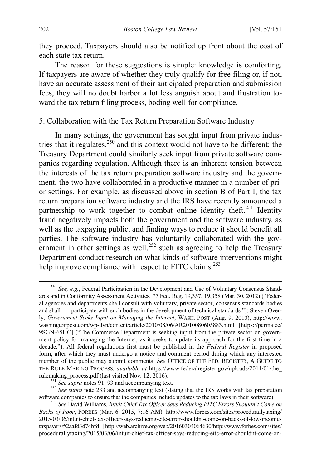they proceed. Taxpayers should also be notified up front about the cost of each state tax return.

The reason for these suggestions is simple: knowledge is comforting. If taxpayers are aware of whether they truly qualify for free filing or, if not, have an accurate assessment of their anticipated preparation and submission fees, they will no doubt harbor a lot less anguish about and frustration toward the tax return filing process, boding well for compliance.

# <span id="page-52-0"></span>5. Collaboration with the Tax Return Preparation Software Industry

In many settings, the government has sought input from private industries that it regulates, $250$  and this context would not have to be different: the Treasury Department could similarly seek input from private software companies regarding regulation. Although there is an inherent tension between the interests of the tax return preparation software industry and the government, the two have collaborated in a productive manner in a number of prior settings. For example, as discussed above in section B of Part I, the tax return preparation software industry and the IRS have recently announced a partnership to work together to combat online identity theft.<sup>[251](#page-52-2)</sup> Identity fraud negatively impacts both the government and the software industry, as well as the taxpaying public, and finding ways to reduce it should benefit all parties. The software industry has voluntarily collaborated with the government in other settings as well,  $252$  such as agreeing to help the Treasury Department conduct research on what kinds of software interventions might help improve compliance with respect to EITC claims.<sup>[253](#page-52-4)</sup>

<span id="page-52-1"></span> <sup>250</sup> *See, e.g.*, Federal Participation in the Development and Use of Voluntary Consensus Standards and in Conformity Assessment Activities, 77 Fed. Reg. 19,357, 19,358 (Mar. 30, 2012) ("Federal agencies and departments shall consult with voluntary, private sector, consensus standards bodies and shall . . . participate with such bodies in the development of technical standards."); Steven Overly, *Government Seeks Input on Managing the Internet*, WASH. POST (Aug. 9, 2010), http://www. washingtonpost.com/wp-dyn/content/article/2010/08/06/AR2010080605883.html [https://perma.cc/ 9SGN-65HC] ("The Commerce Department is seeking input from the private sector on government policy for managing the Internet, as it seeks to update its approach for the first time in a decade."). All federal regulations first must be published in the *Federal Register* in proposed form, after which they must undergo a notice and comment period during which any interested member of the public may submit comments. *See* OFFICE OF THE FED. REGISTER, A GUIDE TO THE RULE MAKING PROCESS, *available at* https://www.federalregister.gov/uploads/2011/01/the\_

<span id="page-52-3"></span><span id="page-52-2"></span>rulemaking\_process.pdf (last visited Nov. 12, 2016).<br><sup>251</sup> *See supra* note[s 91](#page-16-9)[–93](#page-16-10) and accompanying text.<br><sup>252</sup> *See supra* note [233](#page-47-5) and accompanying text (stating that the IRS works with tax preparation software companies

<span id="page-52-4"></span><sup>&</sup>lt;sup>253</sup> See David Williams, Intuit Chief Tax Officer Says Reducing EITC Errors Shouldn't Come on *Backs of Poor*, FORBES (Mar. 6, 2015, 7:16 AM), http://www.forbes.com/sites/procedurallytaxing/ 2015/03/06/intuit-chief-tax-officer-says-reducing-eitc-error-shouldnt-come-on-backs-of-low-incometaxpayers/#2aafd3d74bfd [http://web.archive.org/web/20160304064630/http://www.forbes.com/sites/ procedurallytaxing/2015/03/06/intuit-chief-tax-officer-says-reducing-eitc-error-shouldnt-come-on-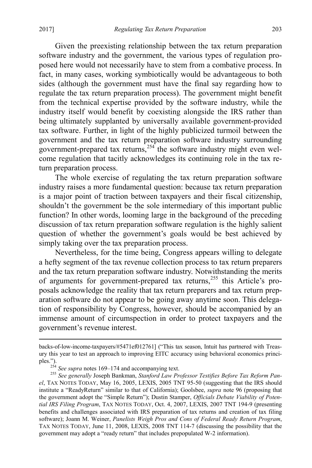$\overline{a}$ 

Given the preexisting relationship between the tax return preparation software industry and the government, the various types of regulation proposed here would not necessarily have to stem from a combative process. In fact, in many cases, working symbiotically would be advantageous to both sides (although the government must have the final say regarding how to regulate the tax return preparation process). The government might benefit from the technical expertise provided by the software industry, while the industry itself would benefit by coexisting alongside the IRS rather than being ultimately supplanted by universally available government-provided tax software. Further, in light of the highly publicized turmoil between the government and the tax return preparation software industry surrounding government-prepared tax returns,<sup>[254](#page-53-1)</sup> the software industry might even welcome regulation that tacitly acknowledges its continuing role in the tax return preparation process.

The whole exercise of regulating the tax return preparation software industry raises a more fundamental question: because tax return preparation is a major point of traction between taxpayers and their fiscal citizenship, shouldn't the government be the sole intermediary of this important public function? In other words, looming large in the background of the preceding discussion of tax return preparation software regulation is the highly salient question of whether the government's goals would be best achieved by simply taking over the tax preparation process.

<span id="page-53-0"></span>Nevertheless, for the time being, Congress appears willing to delegate a hefty segment of the tax revenue collection process to tax return preparers and the tax return preparation software industry. Notwithstanding the merits of arguments for government-prepared tax returns,[255](#page-53-2) this Article's proposals acknowledge the reality that tax return preparers and tax return preparation software do not appear to be going away anytime soon. This delegation of responsibility by Congress, however, should be accompanied by an immense amount of circumspection in order to protect taxpayers and the government's revenue interest.

backs-of-low-income-taxpayers/#5471ef012761] ("This tax season, Intuit has partnered with Treasury this year to test an approach to improving EITC accuracy using behavioral economics principles.").<br>
<sup>254</sup> See supra notes 169–174 and accompanying text.<br>
<sup>254</sup> See supra notes 169–174 Pankman Stanford Law Pro

<span id="page-53-2"></span><span id="page-53-1"></span><sup>&</sup>lt;sup>255</sup> See gener[a](#page-33-1)lly Joseph Bankman, *Stanford Law Professor Testifies Before Tax Reform Panel*, TAX NOTES TODAY, May 16, 2005, LEXIS, 2005 TNT 95-50 (suggesting that the IRS should institute a "ReadyReturn" similar to that of California); Goolsbee, *supra* note [96](#page-17-4) (proposing that the government adopt the "Simple Return"); Dustin Stamper, *Officials Debate Viability of Potential IRS Filing Program*, TAX NOTES TODAY, Oct. 4, 2007, LEXIS, 2007 TNT 194-9 (presenting benefits and challenges associated with IRS preparation of tax returns and creation of tax filing software); Joann M. Weiner, *Panelists Weigh Pros and Cons of Federal Ready Return Program*, TAX NOTES TODAY, June 11, 2008, LEXIS, 2008 TNT 114-7 (discussing the possibility that the government may adopt a "ready return" that includes prepopulated W-2 information).